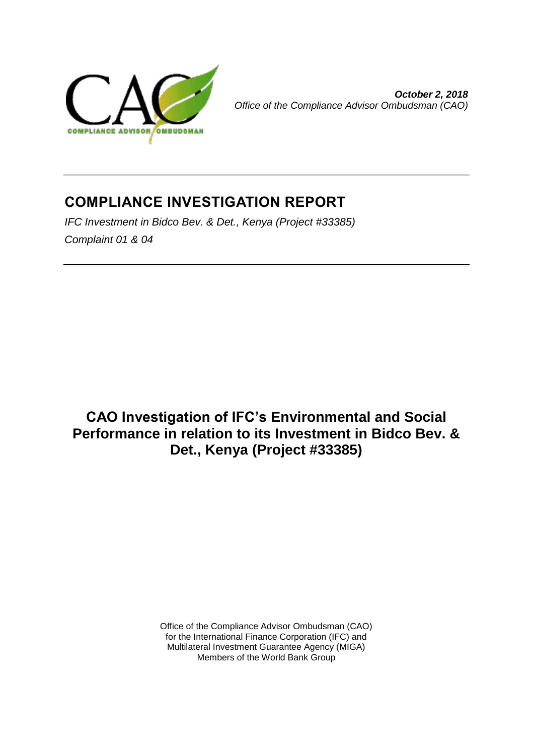

*October 2, 2018 Office of the Compliance Advisor Ombudsman (CAO)*

# **COMPLIANCE INVESTIGATION REPORT**

*IFC Investment in Bidco Bev. & Det., Kenya (Project #33385) Complaint 01 & 04*

**CAO Investigation of IFC's Environmental and Social Performance in relation to its Investment in Bidco Bev. & Det., Kenya (Project #33385)**

> Office of the Compliance Advisor Ombudsman (CAO) for the International Finance Corporation (IFC) and Multilateral Investment Guarantee Agency (MIGA) Members of the World Bank Group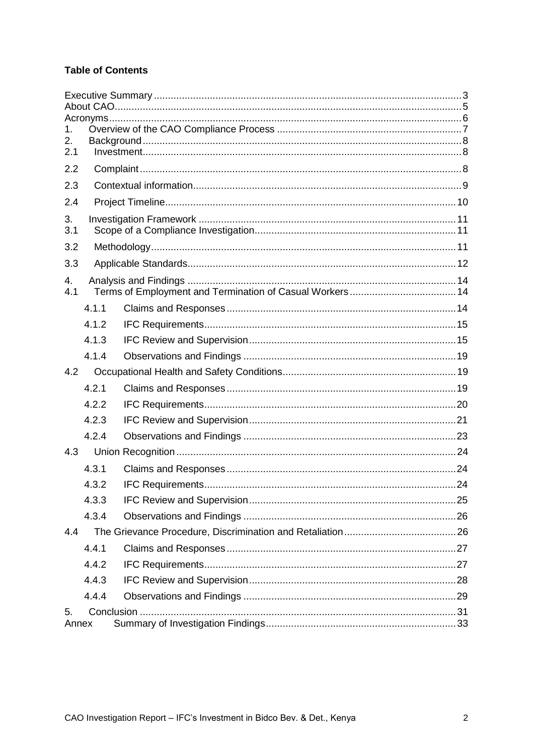### **Table of Contents**

| 1.        |       |  |  |  |  |  |
|-----------|-------|--|--|--|--|--|
| 2.<br>2.1 |       |  |  |  |  |  |
| 2.2       |       |  |  |  |  |  |
| 2.3       |       |  |  |  |  |  |
| 2.4       |       |  |  |  |  |  |
| 3.<br>3.1 |       |  |  |  |  |  |
| 3.2       |       |  |  |  |  |  |
| 3.3       |       |  |  |  |  |  |
| 4.<br>4.1 |       |  |  |  |  |  |
|           | 4.1.1 |  |  |  |  |  |
|           | 4.1.2 |  |  |  |  |  |
|           | 4.1.3 |  |  |  |  |  |
|           | 4.1.4 |  |  |  |  |  |
| 4.2       |       |  |  |  |  |  |
|           | 4.2.1 |  |  |  |  |  |
|           | 4.2.2 |  |  |  |  |  |
|           | 4.2.3 |  |  |  |  |  |
|           | 4.2.4 |  |  |  |  |  |
| 4.3       |       |  |  |  |  |  |
|           | 4.3.1 |  |  |  |  |  |
|           | 4.3.2 |  |  |  |  |  |
|           | 4.3.3 |  |  |  |  |  |
|           | 4.3.4 |  |  |  |  |  |
| 4.4       |       |  |  |  |  |  |
|           | 4.4.1 |  |  |  |  |  |
|           | 4.4.2 |  |  |  |  |  |
|           | 4.4.3 |  |  |  |  |  |
|           | 4.4.4 |  |  |  |  |  |
| 5.        | Annex |  |  |  |  |  |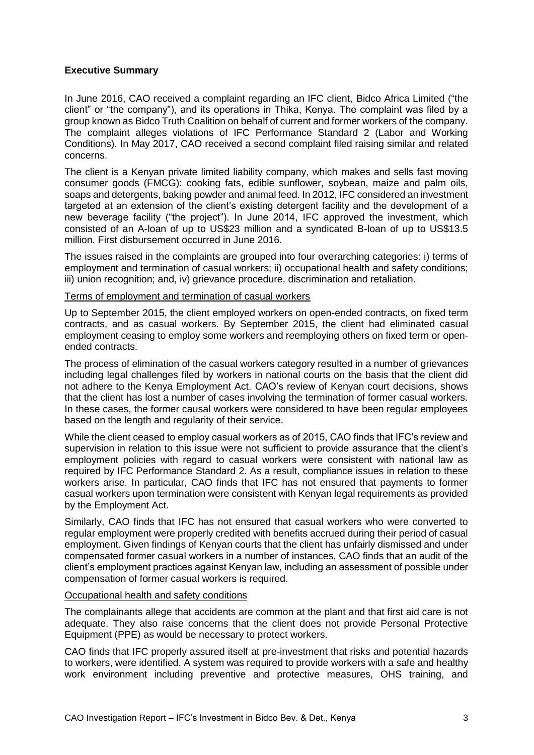#### <span id="page-2-0"></span>**Executive Summary**

In June 2016, CAO received a complaint regarding an IFC client, Bidco Africa Limited ("the client" or "the company"), and its operations in Thika, Kenya. The complaint was filed by a group known as Bidco Truth Coalition on behalf of current and former workers of the company. The complaint alleges violations of IFC Performance Standard 2 (Labor and Working Conditions). In May 2017, CAO received a second complaint filed raising similar and related concerns.

The client is a Kenyan private limited liability company, which makes and sells fast moving consumer goods (FMCG): cooking fats, edible sunflower, soybean, maize and palm oils, soaps and detergents, baking powder and animal feed. In 2012, IFC considered an investment targeted at an extension of the client's existing detergent facility and the development of a new beverage facility ("the project"). In June 2014, IFC approved the investment, which consisted of an A-loan of up to US\$23 million and a syndicated B-loan of up to US\$13.5 million. First disbursement occurred in June 2016.

The issues raised in the complaints are grouped into four overarching categories: i) terms of employment and termination of casual workers; ii) occupational health and safety conditions; iii) union recognition; and, iv) grievance procedure, discrimination and retaliation.

#### Terms of employment and termination of casual workers

Up to September 2015, the client employed workers on open-ended contracts, on fixed term contracts, and as casual workers. By September 2015, the client had eliminated casual employment ceasing to employ some workers and reemploying others on fixed term or openended contracts.

The process of elimination of the casual workers category resulted in a number of grievances including legal challenges filed by workers in national courts on the basis that the client did not adhere to the Kenya Employment Act. CAO's review of Kenyan court decisions, shows that the client has lost a number of cases involving the termination of former casual workers. In these cases, the former causal workers were considered to have been regular employees based on the length and regularity of their service.

While the client ceased to employ casual workers as of 2015, CAO finds that IFC's review and supervision in relation to this issue were not sufficient to provide assurance that the client's employment policies with regard to casual workers were consistent with national law as required by IFC Performance Standard 2. As a result, compliance issues in relation to these workers arise. In particular, CAO finds that IFC has not ensured that payments to former casual workers upon termination were consistent with Kenyan legal requirements as provided by the Employment Act.

Similarly, CAO finds that IFC has not ensured that casual workers who were converted to regular employment were properly credited with benefits accrued during their period of casual employment. Given findings of Kenyan courts that the client has unfairly dismissed and under compensated former casual workers in a number of instances, CAO finds that an audit of the client's employment practices against Kenyan law, including an assessment of possible under compensation of former casual workers is required.

#### Occupational health and safety conditions

The complainants allege that accidents are common at the plant and that first aid care is not adequate. They also raise concerns that the client does not provide Personal Protective Equipment (PPE) as would be necessary to protect workers.

CAO finds that IFC properly assured itself at pre-investment that risks and potential hazards to workers, were identified. A system was required to provide workers with a safe and healthy work environment including preventive and protective measures, OHS training, and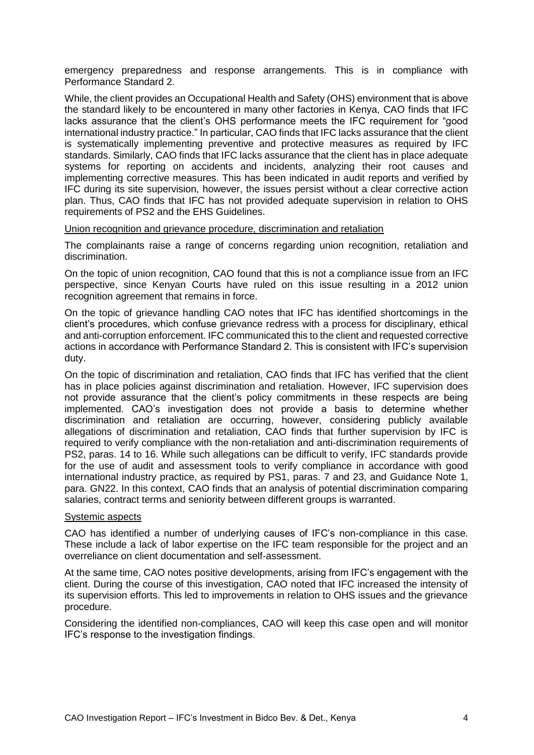emergency preparedness and response arrangements. This is in compliance with Performance Standard 2.

While, the client provides an Occupational Health and Safety (OHS) environment that is above the standard likely to be encountered in many other factories in Kenya, CAO finds that IFC lacks assurance that the client's OHS performance meets the IFC requirement for "good international industry practice." In particular, CAO finds that IFC lacks assurance that the client is systematically implementing preventive and protective measures as required by IFC standards. Similarly, CAO finds that IFC lacks assurance that the client has in place adequate systems for reporting on accidents and incidents, analyzing their root causes and implementing corrective measures. This has been indicated in audit reports and verified by IFC during its site supervision, however, the issues persist without a clear corrective action plan. Thus, CAO finds that IFC has not provided adequate supervision in relation to OHS requirements of PS2 and the EHS Guidelines.

#### Union recognition and grievance procedure, discrimination and retaliation

The complainants raise a range of concerns regarding union recognition, retaliation and discrimination.

On the topic of union recognition, CAO found that this is not a compliance issue from an IFC perspective, since Kenyan Courts have ruled on this issue resulting in a 2012 union recognition agreement that remains in force.

On the topic of grievance handling CAO notes that IFC has identified shortcomings in the client's procedures, which confuse grievance redress with a process for disciplinary, ethical and anti-corruption enforcement. IFC communicated this to the client and requested corrective actions in accordance with Performance Standard 2. This is consistent with IFC's supervision duty.

On the topic of discrimination and retaliation, CAO finds that IFC has verified that the client has in place policies against discrimination and retaliation. However, IFC supervision does not provide assurance that the client's policy commitments in these respects are being implemented. CAO's investigation does not provide a basis to determine whether discrimination and retaliation are occurring, however, considering publicly available allegations of discrimination and retaliation, CAO finds that further supervision by IFC is required to verify compliance with the non-retaliation and anti-discrimination requirements of PS2, paras. 14 to 16. While such allegations can be difficult to verify, IFC standards provide for the use of audit and assessment tools to verify compliance in accordance with good international industry practice, as required by PS1, paras. 7 and 23, and Guidance Note 1, para. GN22. In this context, CAO finds that an analysis of potential discrimination comparing salaries, contract terms and seniority between different groups is warranted.

#### Systemic aspects

CAO has identified a number of underlying causes of IFC's non-compliance in this case. These include a lack of labor expertise on the IFC team responsible for the project and an overreliance on client documentation and self-assessment.

At the same time, CAO notes positive developments, arising from IFC's engagement with the client. During the course of this investigation, CAO noted that IFC increased the intensity of its supervision efforts. This led to improvements in relation to OHS issues and the grievance procedure.

Considering the identified non-compliances, CAO will keep this case open and will monitor IFC's response to the investigation findings.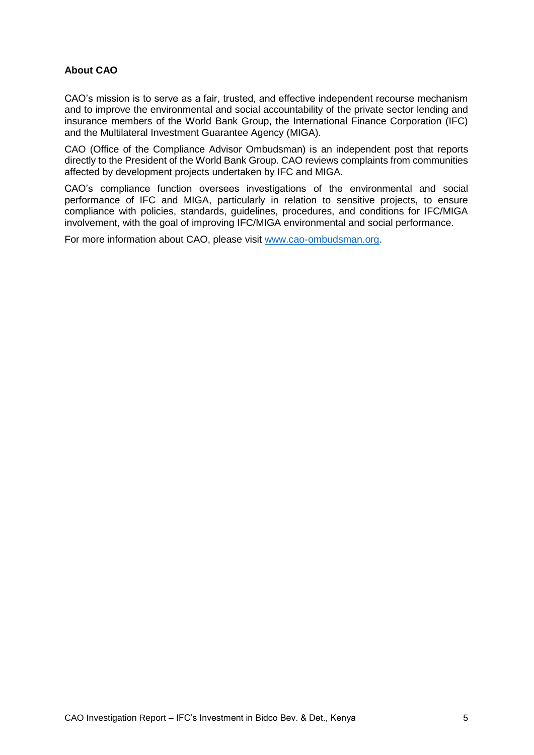#### <span id="page-4-0"></span>**About CAO**

CAO's mission is to serve as a fair, trusted, and effective independent recourse mechanism and to improve the environmental and social accountability of the private sector lending and insurance members of the World Bank Group, the International Finance Corporation (IFC) and the Multilateral Investment Guarantee Agency (MIGA).

CAO (Office of the Compliance Advisor Ombudsman) is an independent post that reports directly to the President of the World Bank Group. CAO reviews complaints from communities affected by development projects undertaken by IFC and MIGA.

CAO's compliance function oversees investigations of the environmental and social performance of IFC and MIGA, particularly in relation to sensitive projects, to ensure compliance with policies, standards, guidelines, procedures, and conditions for IFC/MIGA involvement, with the goal of improving IFC/MIGA environmental and social performance.

For more information about CAO, please visit [www.cao-ombudsman.org.](http://www.cao-ombudsman.org/)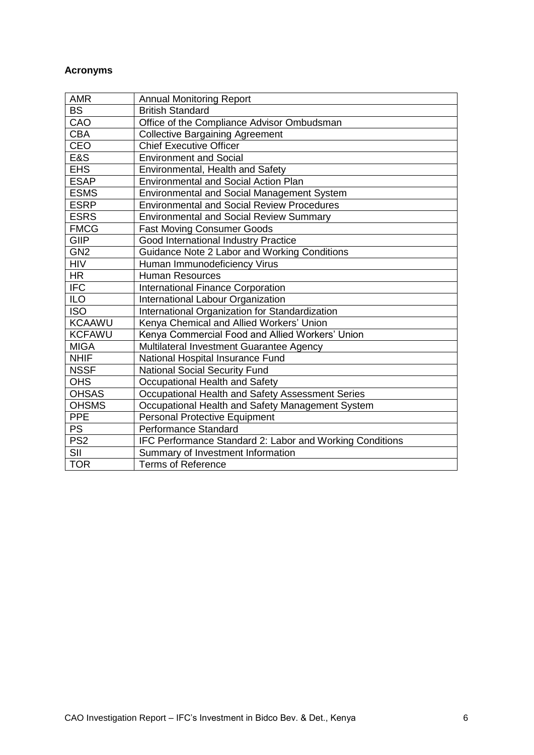### <span id="page-5-0"></span>**Acronyms**

| <b>AMR</b>      | <b>Annual Monitoring Report</b>                          |
|-----------------|----------------------------------------------------------|
| <b>BS</b>       | <b>British Standard</b>                                  |
| CAO             | Office of the Compliance Advisor Ombudsman               |
| <b>CBA</b>      | <b>Collective Bargaining Agreement</b>                   |
| <b>CEO</b>      | <b>Chief Executive Officer</b>                           |
| E&S             | <b>Environment and Social</b>                            |
| <b>EHS</b>      | Environmental, Health and Safety                         |
| <b>ESAP</b>     | <b>Environmental and Social Action Plan</b>              |
| <b>ESMS</b>     | <b>Environmental and Social Management System</b>        |
| <b>ESRP</b>     | <b>Environmental and Social Review Procedures</b>        |
| <b>ESRS</b>     | <b>Environmental and Social Review Summary</b>           |
| <b>FMCG</b>     | <b>Fast Moving Consumer Goods</b>                        |
| <b>GIIP</b>     | Good International Industry Practice                     |
| GN <sub>2</sub> | Guidance Note 2 Labor and Working Conditions             |
| <b>HIV</b>      | Human Immunodeficiency Virus                             |
| <b>HR</b>       | <b>Human Resources</b>                                   |
| <b>IFC</b>      | <b>International Finance Corporation</b>                 |
| ILO <sub></sub> | International Labour Organization                        |
| <b>ISO</b>      | International Organization for Standardization           |
| <b>KCAAWU</b>   | Kenya Chemical and Allied Workers' Union                 |
| <b>KCFAWU</b>   | Kenya Commercial Food and Allied Workers' Union          |
| <b>MIGA</b>     | Multilateral Investment Guarantee Agency                 |
| <b>NHIF</b>     | National Hospital Insurance Fund                         |
| <b>NSSF</b>     | <b>National Social Security Fund</b>                     |
| <b>OHS</b>      | Occupational Health and Safety                           |
| <b>OHSAS</b>    | Occupational Health and Safety Assessment Series         |
| <b>OHSMS</b>    | Occupational Health and Safety Management System         |
| <b>PPE</b>      | <b>Personal Protective Equipment</b>                     |
| PS              | Performance Standard                                     |
| PS <sub>2</sub> | IFC Performance Standard 2: Labor and Working Conditions |
| SII             | Summary of Investment Information                        |
| <b>TOR</b>      | <b>Terms of Reference</b>                                |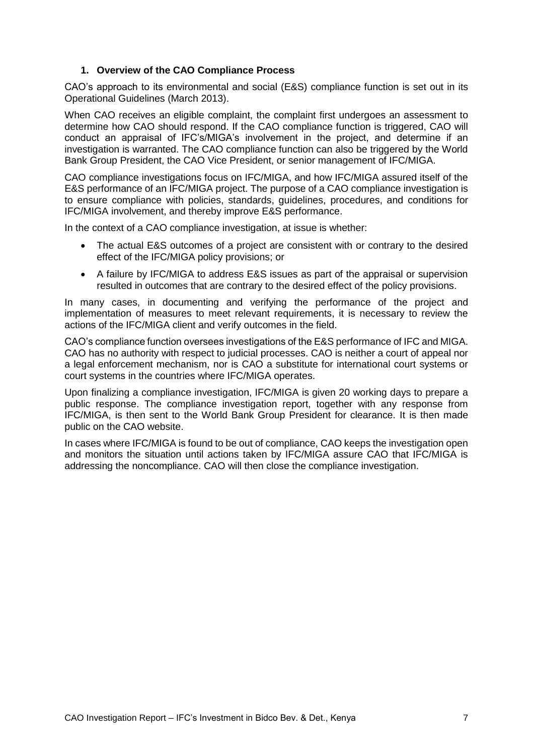#### **1. Overview of the CAO Compliance Process**

<span id="page-6-0"></span>CAO's approach to its environmental and social (E&S) compliance function is set out in its Operational Guidelines (March 2013).

When CAO receives an eligible complaint, the complaint first undergoes an assessment to determine how CAO should respond. If the CAO compliance function is triggered, CAO will conduct an appraisal of IFC's/MIGA's involvement in the project, and determine if an investigation is warranted. The CAO compliance function can also be triggered by the World Bank Group President, the CAO Vice President, or senior management of IFC/MIGA.

CAO compliance investigations focus on IFC/MIGA, and how IFC/MIGA assured itself of the E&S performance of an IFC/MIGA project. The purpose of a CAO compliance investigation is to ensure compliance with policies, standards, guidelines, procedures, and conditions for IFC/MIGA involvement, and thereby improve E&S performance.

In the context of a CAO compliance investigation, at issue is whether:

- The actual E&S outcomes of a project are consistent with or contrary to the desired effect of the IFC/MIGA policy provisions; or
- A failure by IFC/MIGA to address E&S issues as part of the appraisal or supervision resulted in outcomes that are contrary to the desired effect of the policy provisions.

In many cases, in documenting and verifying the performance of the project and implementation of measures to meet relevant requirements, it is necessary to review the actions of the IFC/MIGA client and verify outcomes in the field.

CAO's compliance function oversees investigations of the E&S performance of IFC and MIGA. CAO has no authority with respect to judicial processes. CAO is neither a court of appeal nor a legal enforcement mechanism, nor is CAO a substitute for international court systems or court systems in the countries where IFC/MIGA operates.

Upon finalizing a compliance investigation, IFC/MIGA is given 20 working days to prepare a public response. The compliance investigation report, together with any response from IFC/MIGA, is then sent to the World Bank Group President for clearance. It is then made public on the CAO website.

In cases where IFC/MIGA is found to be out of compliance, CAO keeps the investigation open and monitors the situation until actions taken by IFC/MIGA assure CAO that IFC/MIGA is addressing the noncompliance. CAO will then close the compliance investigation.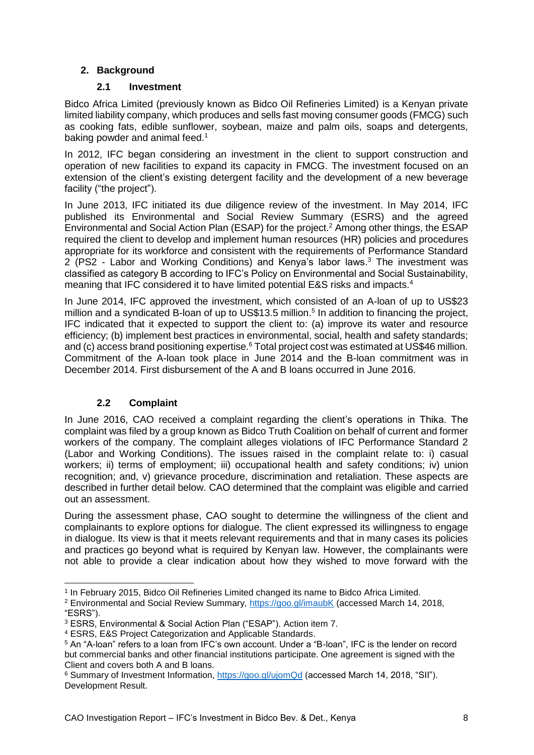### <span id="page-7-0"></span>**2. Background**

#### **2.1 Investment**

<span id="page-7-1"></span>Bidco Africa Limited (previously known as Bidco Oil Refineries Limited) is a Kenyan private limited liability company, which produces and sells fast moving consumer goods (FMCG) such as cooking fats, edible sunflower, soybean, maize and palm oils, soaps and detergents, baking powder and animal feed.<sup>1</sup>

In 2012, IFC began considering an investment in the client to support construction and operation of new facilities to expand its capacity in FMCG. The investment focused on an extension of the client's existing detergent facility and the development of a new beverage facility ("the project").

In June 2013, IFC initiated its due diligence review of the investment. In May 2014, IFC published its Environmental and Social Review Summary (ESRS) and the agreed Environmental and Social Action Plan (ESAP) for the project.<sup>2</sup> Among other things, the ESAP required the client to develop and implement human resources (HR) policies and procedures appropriate for its workforce and consistent with the requirements of Performance Standard 2 (PS2 - Labor and Working Conditions) and Kenya's labor laws.<sup>3</sup> The investment was classified as category B according to IFC's Policy on Environmental and Social Sustainability, meaning that IFC considered it to have limited potential E&S risks and impacts.<sup>4</sup>

In June 2014, IFC approved the investment, which consisted of an A-loan of up to US\$23 million and a syndicated B-loan of up to US\$13.5 million.<sup>5</sup> In addition to financing the project, IFC indicated that it expected to support the client to: (a) improve its water and resource efficiency; (b) implement best practices in environmental, social, health and safety standards; and (c) access brand positioning expertise.<sup>6</sup> Total project cost was estimated at US\$46 million. Commitment of the A-loan took place in June 2014 and the B-loan commitment was in December 2014. First disbursement of the A and B loans occurred in June 2016.

### **2.2 Complaint**

<span id="page-7-2"></span>In June 2016, CAO received a complaint regarding the client's operations in Thika. The complaint was filed by a group known as Bidco Truth Coalition on behalf of current and former workers of the company. The complaint alleges violations of IFC Performance Standard 2 (Labor and Working Conditions). The issues raised in the complaint relate to: i) casual workers; ii) terms of employment; iii) occupational health and safety conditions; iv) union recognition; and, v) grievance procedure, discrimination and retaliation. These aspects are described in further detail below. CAO determined that the complaint was eligible and carried out an assessment.

During the assessment phase, CAO sought to determine the willingness of the client and complainants to explore options for dialogue. The client expressed its willingness to engage in dialogue. Its view is that it meets relevant requirements and that in many cases its policies and practices go beyond what is required by Kenyan law. However, the complainants were not able to provide a clear indication about how they wished to move forward with the

<sup>-</sup>1 In February 2015, Bidco Oil Refineries Limited changed its name to Bidco Africa Limited.

<sup>&</sup>lt;sup>2</sup> Environmental and Social Review Summary,<https://goo.gl/imaubK> (accessed March 14, 2018, "ESRS").

<sup>3</sup> ESRS, Environmental & Social Action Plan ("ESAP"). Action item 7.

<sup>4</sup> ESRS, E&S Project Categorization and Applicable Standards.

<sup>5</sup> An "A-loan" refers to a loan from IFC's own account. Under a "B-loan", IFC is the lender on record but commercial banks and other financial institutions participate. One agreement is signed with the Client and covers both A and B loans.

<sup>6</sup> Summary of Investment Information,<https://goo.gl/ujomQd> (accessed March 14, 2018, "SII"). Development Result.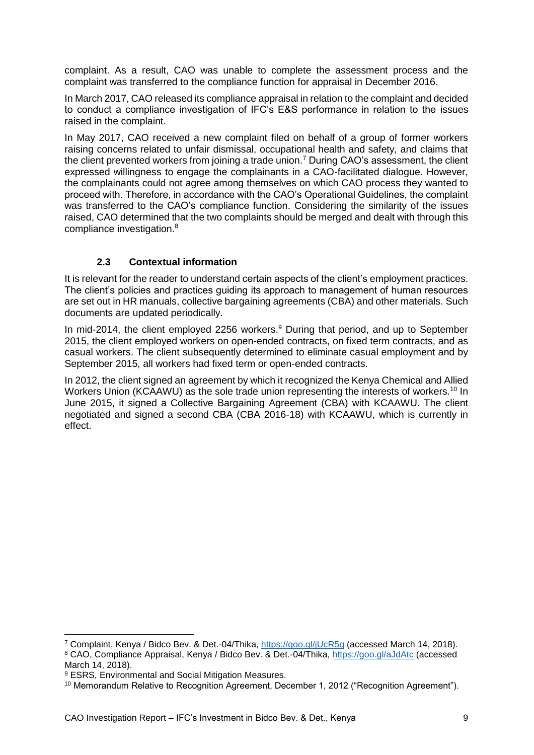complaint. As a result, CAO was unable to complete the assessment process and the complaint was transferred to the compliance function for appraisal in December 2016.

In March 2017, CAO released its compliance appraisal in relation to the complaint and decided to conduct a compliance investigation of IFC's E&S performance in relation to the issues raised in the complaint.

In May 2017, CAO received a new complaint filed on behalf of a group of former workers raising concerns related to unfair dismissal, occupational health and safety, and claims that the client prevented workers from joining a trade union.<sup>7</sup> During CAO's assessment, the client expressed willingness to engage the complainants in a CAO-facilitated dialogue. However, the complainants could not agree among themselves on which CAO process they wanted to proceed with. Therefore, in accordance with the CAO's Operational Guidelines, the complaint was transferred to the CAO's compliance function. Considering the similarity of the issues raised, CAO determined that the two complaints should be merged and dealt with through this compliance investigation.<sup>8</sup>

### **2.3 Contextual information**

<span id="page-8-0"></span>It is relevant for the reader to understand certain aspects of the client's employment practices. The client's policies and practices guiding its approach to management of human resources are set out in HR manuals, collective bargaining agreements (CBA) and other materials. Such documents are updated periodically.

In mid-2014, the client employed 2256 workers.<sup>9</sup> During that period, and up to September 2015, the client employed workers on open-ended contracts, on fixed term contracts, and as casual workers. The client subsequently determined to eliminate casual employment and by September 2015, all workers had fixed term or open-ended contracts.

In 2012, the client signed an agreement by which it recognized the Kenya Chemical and Allied Workers Union (KCAAWU) as the sole trade union representing the interests of workers.<sup>10</sup> In June 2015, it signed a Collective Bargaining Agreement (CBA) with KCAAWU. The client negotiated and signed a second CBA (CBA 2016-18) with KCAAWU, which is currently in effect.

<sup>7</sup> Complaint, Kenya / Bidco Bev. & Det.-04/Thika, <https://goo.gl/jUcR5q> (accessed March 14, 2018). <sup>8</sup> CAO, Compliance Appraisal, Kenya / Bidco Bev. & Det.-04/Thika, <https://goo.gl/aJdAtc> (accessed March 14, 2018).

<sup>9</sup> ESRS, Environmental and Social Mitigation Measures.

<sup>&</sup>lt;sup>10</sup> Memorandum Relative to Recognition Agreement, December 1, 2012 ("Recognition Agreement").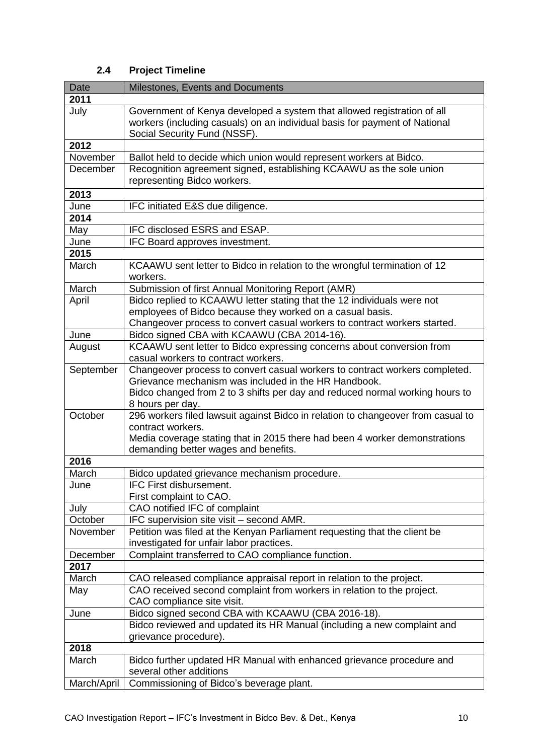# **2.4 Project Timeline**

<span id="page-9-0"></span>

| Date        | Milestones, Events and Documents                                                                                                                                                                                  |
|-------------|-------------------------------------------------------------------------------------------------------------------------------------------------------------------------------------------------------------------|
| 2011        |                                                                                                                                                                                                                   |
| July        | Government of Kenya developed a system that allowed registration of all<br>workers (including casuals) on an individual basis for payment of National<br>Social Security Fund (NSSF).                             |
| 2012        |                                                                                                                                                                                                                   |
| November    | Ballot held to decide which union would represent workers at Bidco.                                                                                                                                               |
| December    | Recognition agreement signed, establishing KCAAWU as the sole union<br>representing Bidco workers.                                                                                                                |
| 2013        |                                                                                                                                                                                                                   |
| June        | IFC initiated E&S due diligence.                                                                                                                                                                                  |
| 2014        |                                                                                                                                                                                                                   |
| May         | IFC disclosed ESRS and ESAP.                                                                                                                                                                                      |
| June        | IFC Board approves investment.                                                                                                                                                                                    |
| 2015        |                                                                                                                                                                                                                   |
| March       | KCAAWU sent letter to Bidco in relation to the wrongful termination of 12<br>workers.                                                                                                                             |
| March       | Submission of first Annual Monitoring Report (AMR)                                                                                                                                                                |
| April       | Bidco replied to KCAAWU letter stating that the 12 individuals were not<br>employees of Bidco because they worked on a casual basis.<br>Changeover process to convert casual workers to contract workers started. |
| June        | Bidco signed CBA with KCAAWU (CBA 2014-16).                                                                                                                                                                       |
| August      | KCAAWU sent letter to Bidco expressing concerns about conversion from                                                                                                                                             |
|             | casual workers to contract workers.                                                                                                                                                                               |
| September   | Changeover process to convert casual workers to contract workers completed.                                                                                                                                       |
|             | Grievance mechanism was included in the HR Handbook.<br>Bidco changed from 2 to 3 shifts per day and reduced normal working hours to<br>8 hours per day.                                                          |
| October     | 296 workers filed lawsuit against Bidco in relation to changeover from casual to<br>contract workers.                                                                                                             |
|             | Media coverage stating that in 2015 there had been 4 worker demonstrations<br>demanding better wages and benefits.                                                                                                |
| 2016        |                                                                                                                                                                                                                   |
| March       | Bidco updated grievance mechanism procedure.                                                                                                                                                                      |
| June        | <b>IFC First disbursement.</b>                                                                                                                                                                                    |
|             | First complaint to CAO.                                                                                                                                                                                           |
| July        | CAO notified IFC of complaint                                                                                                                                                                                     |
| October     | IFC supervision site visit - second AMR.                                                                                                                                                                          |
| November    | Petition was filed at the Kenyan Parliament requesting that the client be                                                                                                                                         |
|             | investigated for unfair labor practices.                                                                                                                                                                          |
| December    | Complaint transferred to CAO compliance function.                                                                                                                                                                 |
| 2017        |                                                                                                                                                                                                                   |
| March       | CAO released compliance appraisal report in relation to the project.                                                                                                                                              |
| May         | CAO received second complaint from workers in relation to the project.<br>CAO compliance site visit.                                                                                                              |
| June        | Bidco signed second CBA with KCAAWU (CBA 2016-18).                                                                                                                                                                |
|             | Bidco reviewed and updated its HR Manual (including a new complaint and                                                                                                                                           |
|             | grievance procedure).                                                                                                                                                                                             |
| 2018        |                                                                                                                                                                                                                   |
| March       | Bidco further updated HR Manual with enhanced grievance procedure and<br>several other additions                                                                                                                  |
| March/April | Commissioning of Bidco's beverage plant.                                                                                                                                                                          |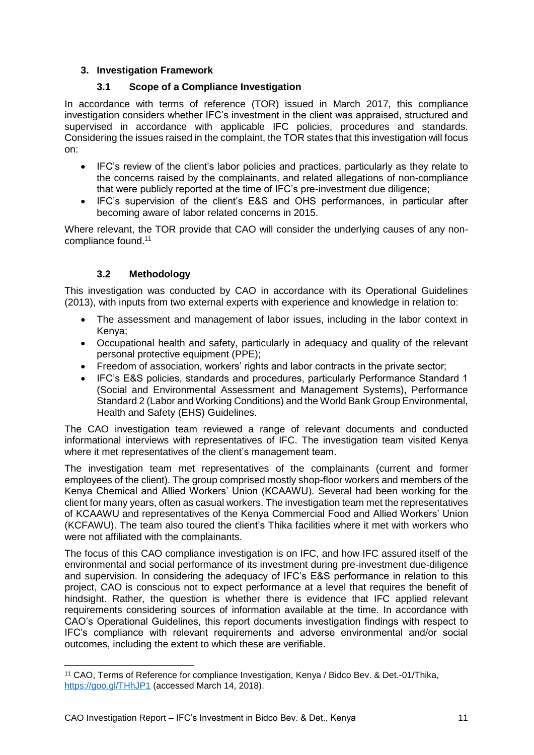### <span id="page-10-0"></span>**3. Investigation Framework**

#### **3.1 Scope of a Compliance Investigation**

<span id="page-10-1"></span>In accordance with terms of reference (TOR) issued in March 2017, this compliance investigation considers whether IFC's investment in the client was appraised, structured and supervised in accordance with applicable IFC policies, procedures and standards. Considering the issues raised in the complaint, the TOR states that this investigation will focus on:

- IFC's review of the client's labor policies and practices, particularly as they relate to the concerns raised by the complainants, and related allegations of non-compliance that were publicly reported at the time of IFC's pre-investment due diligence;
- IFC's supervision of the client's E&S and OHS performances, in particular after becoming aware of labor related concerns in 2015.

Where relevant, the TOR provide that CAO will consider the underlying causes of any noncompliance found.<sup>11</sup>

#### **3.2 Methodology**

<span id="page-10-2"></span>This investigation was conducted by CAO in accordance with its Operational Guidelines (2013), with inputs from two external experts with experience and knowledge in relation to:

- The assessment and management of labor issues, including in the labor context in Kenya;
- Occupational health and safety, particularly in adequacy and quality of the relevant personal protective equipment (PPE);
- Freedom of association, workers' rights and labor contracts in the private sector;
- IFC's E&S policies, standards and procedures, particularly Performance Standard 1 (Social and Environmental Assessment and Management Systems), Performance Standard 2 (Labor and Working Conditions) and the World Bank Group Environmental, Health and Safety (EHS) Guidelines.

The CAO investigation team reviewed a range of relevant documents and conducted informational interviews with representatives of IFC. The investigation team visited Kenya where it met representatives of the client's management team.

The investigation team met representatives of the complainants (current and former employees of the client). The group comprised mostly shop-floor workers and members of the Kenya Chemical and Allied Workers' Union (KCAAWU). Several had been working for the client for many years, often as casual workers. The investigation team met the representatives of KCAAWU and representatives of the Kenya Commercial Food and Allied Workers' Union (KCFAWU). The team also toured the client's Thika facilities where it met with workers who were not affiliated with the complainants.

The focus of this CAO compliance investigation is on IFC, and how IFC assured itself of the environmental and social performance of its investment during pre-investment due-diligence and supervision. In considering the adequacy of IFC's E&S performance in relation to this project, CAO is conscious not to expect performance at a level that requires the benefit of hindsight. Rather, the question is whether there is evidence that IFC applied relevant requirements considering sources of information available at the time. In accordance with CAO's Operational Guidelines, this report documents investigation findings with respect to IFC's compliance with relevant requirements and adverse environmental and/or social outcomes, including the extent to which these are verifiable.

<sup>11</sup> CAO, Terms of Reference for compliance Investigation, Kenya / Bidco Bev. & Det.-01/Thika, <https://goo.gl/THhJP1> (accessed March 14, 2018).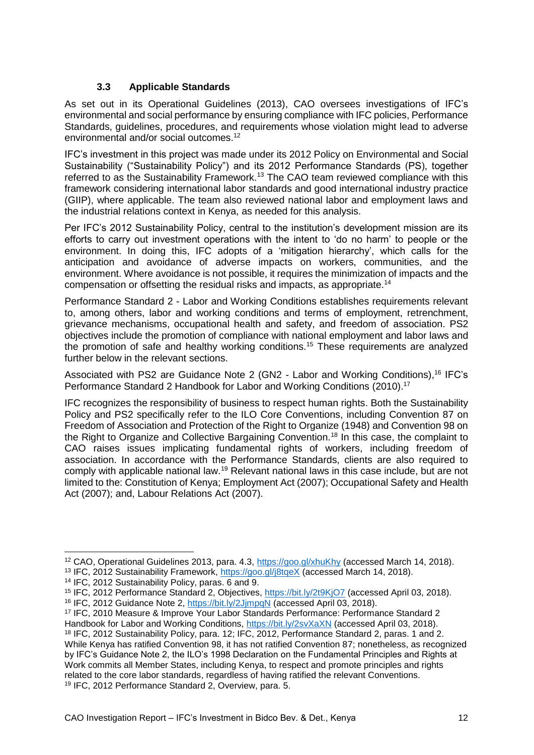### **3.3 Applicable Standards**

<span id="page-11-0"></span>As set out in its Operational Guidelines (2013), CAO oversees investigations of IFC's environmental and social performance by ensuring compliance with IFC policies, Performance Standards, guidelines, procedures, and requirements whose violation might lead to adverse environmental and/or social outcomes. 12

IFC's investment in this project was made under its 2012 Policy on Environmental and Social Sustainability ("Sustainability Policy") and its 2012 Performance Standards (PS), together referred to as the Sustainability Framework.<sup>13</sup> The CAO team reviewed compliance with this framework considering international labor standards and good international industry practice (GIIP), where applicable. The team also reviewed national labor and employment laws and the industrial relations context in Kenya, as needed for this analysis.

Per IFC's 2012 Sustainability Policy, central to the institution's development mission are its efforts to carry out investment operations with the intent to 'do no harm' to people or the environment. In doing this, IFC adopts of a 'mitigation hierarchy', which calls for the anticipation and avoidance of adverse impacts on workers, communities, and the environment. Where avoidance is not possible, it requires the minimization of impacts and the compensation or offsetting the residual risks and impacts, as appropriate.<sup>14</sup>

Performance Standard 2 - Labor and Working Conditions establishes requirements relevant to, among others, labor and working conditions and terms of employment, retrenchment, grievance mechanisms, occupational health and safety, and freedom of association. PS2 objectives include the promotion of compliance with national employment and labor laws and the promotion of safe and healthy working conditions.<sup>15</sup> These requirements are analyzed further below in the relevant sections.

Associated with PS2 are Guidance Note 2 (GN2 - Labor and Working Conditions),<sup>16</sup> IFC's Performance Standard 2 Handbook for Labor and Working Conditions (2010). 17

IFC recognizes the responsibility of business to respect human rights. Both the Sustainability Policy and PS2 specifically refer to the ILO Core Conventions, including Convention 87 on Freedom of Association and Protection of the Right to Organize (1948) and Convention 98 on the Right to Organize and Collective Bargaining Convention.<sup>18</sup> In this case, the complaint to CAO raises issues implicating fundamental rights of workers, including freedom of association. In accordance with the Performance Standards, clients are also required to comply with applicable national law.<sup>19</sup> Relevant national laws in this case include, but are not limited to the: Constitution of Kenya; Employment Act (2007); Occupational Safety and Health Act (2007); and, Labour Relations Act (2007).

-

<sup>17</sup> IFC, 2010 Measure & Improve Your Labor Standards Performance: Performance Standard 2

<sup>12</sup> CAO, Operational Guidelines 2013, para. 4.3,<https://goo.gl/xhuKhy> (accessed March 14, 2018).

<sup>&</sup>lt;sup>13</sup> IFC, 2012 Sustainability Framework,<https://goo.gl/j8tqeX> (accessed March 14, 2018).

<sup>14</sup> IFC, 2012 Sustainability Policy, paras. 6 and 9.

<sup>15</sup> IFC, 2012 Performance Standard 2, Objectives,<https://bit.ly/2t9KjO7> (accessed April 03, 2018).

<sup>16</sup> IFC, 2012 Guidance Note 2,<https://bit.ly/2JjmpqN> (accessed April 03, 2018).

Handbook for Labor and Working Conditions,<https://bit.ly/2svXaXN> (accessed April 03, 2018). <sup>18</sup> IFC, 2012 Sustainability Policy, para. 12; IFC, 2012, Performance Standard 2, paras. 1 and 2. While Kenya has ratified Convention 98, it has not ratified Convention 87; nonetheless, as recognized by IFC's Guidance Note 2, the ILO's 1998 Declaration on the Fundamental Principles and Rights at Work commits all Member States, including Kenya, to respect and promote principles and rights related to the core labor standards, regardless of having ratified the relevant Conventions. <sup>19</sup> IFC, 2012 Performance Standard 2, Overview, para. 5.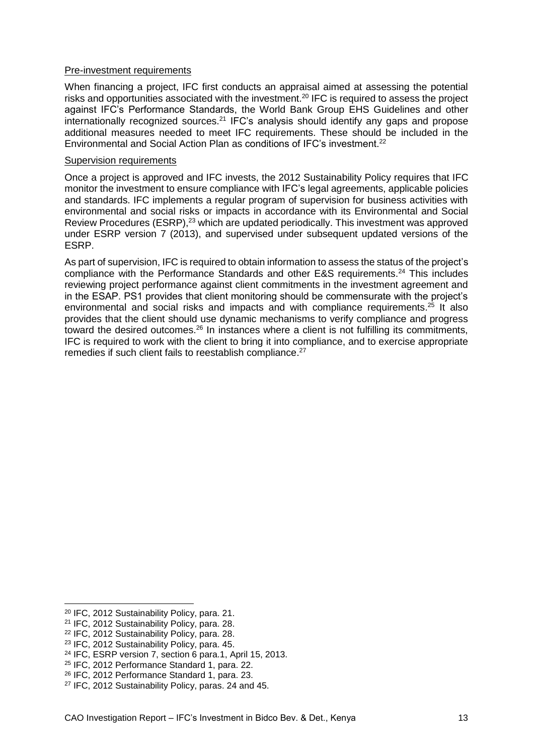#### Pre-investment requirements

When financing a project, IFC first conducts an appraisal aimed at assessing the potential risks and opportunities associated with the investment.<sup>20</sup> IFC is required to assess the project against IFC's Performance Standards, the World Bank Group EHS Guidelines and other internationally recognized sources.<sup>21</sup> IFC's analysis should identify any gaps and propose additional measures needed to meet IFC requirements. These should be included in the Environmental and Social Action Plan as conditions of IFC's investment.<sup>22</sup>

#### Supervision requirements

Once a project is approved and IFC invests, the 2012 Sustainability Policy requires that IFC monitor the investment to ensure compliance with IFC's legal agreements, applicable policies and standards. IFC implements a regular program of supervision for business activities with environmental and social risks or impacts in accordance with its Environmental and Social Review Procedures (ESRP),<sup>23</sup> which are updated periodically. This investment was approved under ESRP version 7 (2013), and supervised under subsequent updated versions of the ESRP.

As part of supervision, IFC is required to obtain information to assess the status of the project's compliance with the Performance Standards and other E&S requirements.<sup>24</sup> This includes reviewing project performance against client commitments in the investment agreement and in the ESAP. PS1 provides that client monitoring should be commensurate with the project's environmental and social risks and impacts and with compliance requirements.<sup>25</sup> It also provides that the client should use dynamic mechanisms to verify compliance and progress toward the desired outcomes.<sup>26</sup> In instances where a client is not fulfilling its commitments, IFC is required to work with the client to bring it into compliance, and to exercise appropriate remedies if such client fails to reestablish compliance.<sup>27</sup>

<sup>20</sup> IFC, 2012 Sustainability Policy, para. 21.

<sup>21</sup> IFC, 2012 Sustainability Policy, para. 28.

<sup>22</sup> IFC, 2012 Sustainability Policy, para. 28.

<sup>23</sup> IFC, 2012 Sustainability Policy, para. 45.

<sup>24</sup> IFC, ESRP version 7, section 6 para.1, April 15, 2013.

<sup>25</sup> IFC, 2012 Performance Standard 1, para. 22.

<sup>26</sup> IFC, 2012 Performance Standard 1, para. 23.

<sup>27</sup> IFC, 2012 Sustainability Policy, paras. 24 and 45.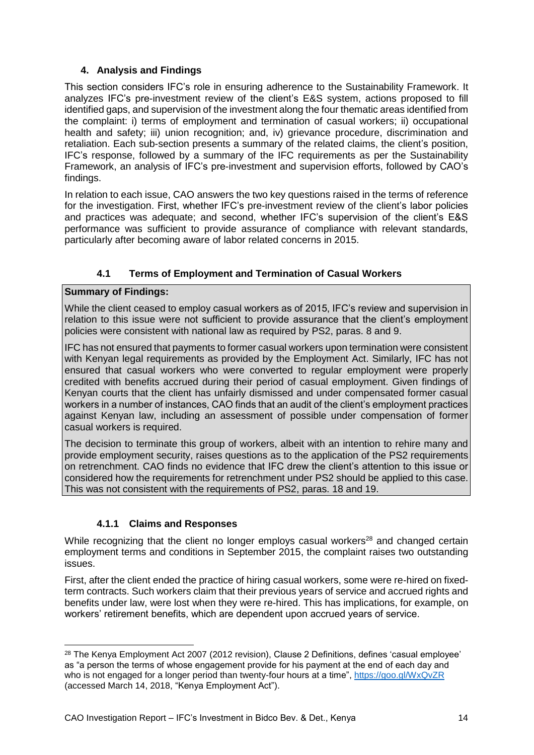### **4. Analysis and Findings**

<span id="page-13-0"></span>This section considers IFC's role in ensuring adherence to the Sustainability Framework. It analyzes IFC's pre-investment review of the client's E&S system, actions proposed to fill identified gaps, and supervision of the investment along the four thematic areas identified from the complaint: i) terms of employment and termination of casual workers; ii) occupational health and safety; iii) union recognition; and, iv) grievance procedure, discrimination and retaliation. Each sub-section presents a summary of the related claims, the client's position, IFC's response, followed by a summary of the IFC requirements as per the Sustainability Framework, an analysis of IFC's pre-investment and supervision efforts, followed by CAO's findings.

In relation to each issue, CAO answers the two key questions raised in the terms of reference for the investigation. First, whether IFC's pre-investment review of the client's labor policies and practices was adequate; and second, whether IFC's supervision of the client's E&S performance was sufficient to provide assurance of compliance with relevant standards, particularly after becoming aware of labor related concerns in 2015.

### **4.1 Terms of Employment and Termination of Casual Workers**

### <span id="page-13-1"></span>**Summary of Findings:**

-

While the client ceased to employ casual workers as of 2015, IFC's review and supervision in relation to this issue were not sufficient to provide assurance that the client's employment policies were consistent with national law as required by PS2, paras. 8 and 9.

IFC has not ensured that payments to former casual workers upon termination were consistent with Kenyan legal requirements as provided by the Employment Act. Similarly, IFC has not ensured that casual workers who were converted to regular employment were properly credited with benefits accrued during their period of casual employment. Given findings of Kenyan courts that the client has unfairly dismissed and under compensated former casual workers in a number of instances, CAO finds that an audit of the client's employment practices against Kenyan law, including an assessment of possible under compensation of former casual workers is required.

The decision to terminate this group of workers, albeit with an intention to rehire many and provide employment security, raises questions as to the application of the PS2 requirements on retrenchment. CAO finds no evidence that IFC drew the client's attention to this issue or considered how the requirements for retrenchment under PS2 should be applied to this case. This was not consistent with the requirements of PS2, paras. 18 and 19.

### **4.1.1 Claims and Responses**

<span id="page-13-2"></span>While recognizing that the client no longer employs casual workers<sup>28</sup> and changed certain employment terms and conditions in September 2015, the complaint raises two outstanding issues.

First, after the client ended the practice of hiring casual workers, some were re-hired on fixedterm contracts. Such workers claim that their previous years of service and accrued rights and benefits under law, were lost when they were re-hired. This has implications, for example, on workers' retirement benefits, which are dependent upon accrued years of service.

<sup>28</sup> The Kenya Employment Act 2007 (2012 revision), Clause 2 Definitions, defines 'casual employee' as "a person the terms of whose engagement provide for his payment at the end of each day and who is not engaged for a longer period than twenty-four hours at a time",<https://goo.gl/WxQvZR> (accessed March 14, 2018, "Kenya Employment Act").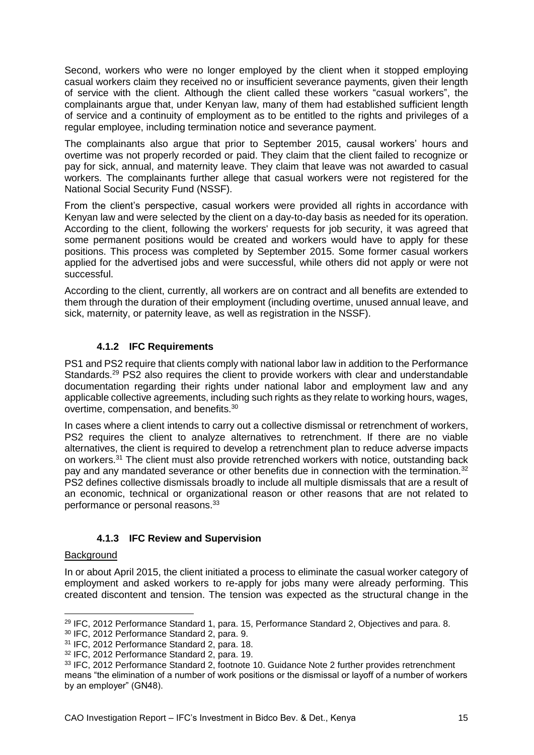Second, workers who were no longer employed by the client when it stopped employing casual workers claim they received no or insufficient severance payments, given their length of service with the client. Although the client called these workers "casual workers", the complainants argue that, under Kenyan law, many of them had established sufficient length of service and a continuity of employment as to be entitled to the rights and privileges of a regular employee, including termination notice and severance payment.

The complainants also argue that prior to September 2015, causal workers' hours and overtime was not properly recorded or paid. They claim that the client failed to recognize or pay for sick, annual, and maternity leave. They claim that leave was not awarded to casual workers. The complainants further allege that casual workers were not registered for the National Social Security Fund (NSSF).

From the client's perspective, casual workers were provided all rights in accordance with Kenyan law and were selected by the client on a day-to-day basis as needed for its operation. According to the client, following the workers' requests for job security, it was agreed that some permanent positions would be created and workers would have to apply for these positions. This process was completed by September 2015. Some former casual workers applied for the advertised jobs and were successful, while others did not apply or were not successful.

According to the client, currently, all workers are on contract and all benefits are extended to them through the duration of their employment (including overtime, unused annual leave, and sick, maternity, or paternity leave, as well as registration in the NSSF).

### **4.1.2 IFC Requirements**

<span id="page-14-0"></span>PS1 and PS2 require that clients comply with national labor law in addition to the Performance Standards.<sup>29</sup> PS2 also requires the client to provide workers with clear and understandable documentation regarding their rights under national labor and employment law and any applicable collective agreements, including such rights as they relate to working hours, wages, overtime, compensation, and benefits.<sup>30</sup>

In cases where a client intends to carry out a collective dismissal or retrenchment of workers, PS2 requires the client to analyze alternatives to retrenchment. If there are no viable alternatives, the client is required to develop a retrenchment plan to reduce adverse impacts on workers.<sup>31</sup> The client must also provide retrenched workers with notice, outstanding back pay and any mandated severance or other benefits due in connection with the termination.<sup>32</sup> PS2 defines collective dismissals broadly to include all multiple dismissals that are a result of an economic, technical or organizational reason or other reasons that are not related to performance or personal reasons.<sup>33</sup>

### **4.1.3 IFC Review and Supervision**

#### <span id="page-14-1"></span>**Background**

In or about April 2015, the client initiated a process to eliminate the casual worker category of employment and asked workers to re-apply for jobs many were already performing. This created discontent and tension. The tension was expected as the structural change in the

<sup>-</sup><sup>29</sup> IFC, 2012 Performance Standard 1, para. 15, Performance Standard 2, Objectives and para. 8.

<sup>30</sup> IFC, 2012 Performance Standard 2, para. 9.

<sup>31</sup> IFC, 2012 Performance Standard 2, para. 18.

<sup>32</sup> IFC, 2012 Performance Standard 2, para. 19.

<sup>&</sup>lt;sup>33</sup> IFC, 2012 Performance Standard 2, footnote 10, Guidance Note 2 further provides retrenchment means "the elimination of a number of work positions or the dismissal or layoff of a number of workers by an employer" (GN48).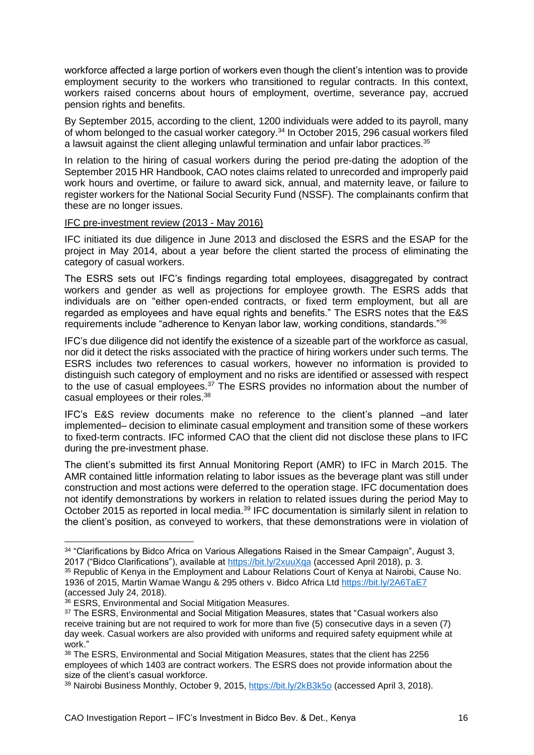workforce affected a large portion of workers even though the client's intention was to provide employment security to the workers who transitioned to regular contracts. In this context, workers raised concerns about hours of employment, overtime, severance pay, accrued pension rights and benefits.

By September 2015, according to the client, 1200 individuals were added to its payroll, many of whom belonged to the casual worker category.<sup>34</sup> In October 2015, 296 casual workers filed a lawsuit against the client alleging unlawful termination and unfair labor practices.<sup>35</sup>

In relation to the hiring of casual workers during the period pre-dating the adoption of the September 2015 HR Handbook, CAO notes claims related to unrecorded and improperly paid work hours and overtime, or failure to award sick, annual, and maternity leave, or failure to register workers for the National Social Security Fund (NSSF). The complainants confirm that these are no longer issues.

#### IFC pre-investment review (2013 - May 2016)

IFC initiated its due diligence in June 2013 and disclosed the ESRS and the ESAP for the project in May 2014, about a year before the client started the process of eliminating the category of casual workers.

The ESRS sets out IFC's findings regarding total employees, disaggregated by contract workers and gender as well as projections for employee growth. The ESRS adds that individuals are on "either open-ended contracts, or fixed term employment, but all are regarded as employees and have equal rights and benefits." The ESRS notes that the E&S requirements include "adherence to Kenyan labor law, working conditions, standards."<sup>36</sup>

IFC's due diligence did not identify the existence of a sizeable part of the workforce as casual, nor did it detect the risks associated with the practice of hiring workers under such terms. The ESRS includes two references to casual workers, however no information is provided to distinguish such category of employment and no risks are identified or assessed with respect to the use of casual employees.<sup>37</sup> The ESRS provides no information about the number of casual employees or their roles.<sup>38</sup>

IFC's E&S review documents make no reference to the client's planned –and later implemented– decision to eliminate casual employment and transition some of these workers to fixed-term contracts. IFC informed CAO that the client did not disclose these plans to IFC during the pre-investment phase.

The client's submitted its first Annual Monitoring Report (AMR) to IFC in March 2015. The AMR contained little information relating to labor issues as the beverage plant was still under construction and most actions were deferred to the operation stage. IFC documentation does not identify demonstrations by workers in relation to related issues during the period May to October 2015 as reported in local media.<sup>39</sup> IFC documentation is similarly silent in relation to the client's position, as conveyed to workers, that these demonstrations were in violation of

<sup>&</sup>lt;sup>34</sup> "Clarifications by Bidco Africa on Various Allegations Raised in the Smear Campaign", August 3, 2017 ("Bidco Clarifications"), available at<https://bit.ly/2xuuXqa> (accessed April 2018), p. 3.

<sup>35</sup> Republic of Kenya in the Employment and Labour Relations Court of Kenya at Nairobi, Cause No. 1936 of 2015, Martin Wamae Wangu & 295 others v. Bidco Africa Ltd <https://bit.ly/2A6TaE7> (accessed July 24, 2018).

<sup>36</sup> ESRS, Environmental and Social Mitigation Measures.

<sup>&</sup>lt;sup>37</sup> The ESRS, Environmental and Social Mitigation Measures, states that "Casual workers also receive training but are not required to work for more than five (5) consecutive days in a seven (7) day week. Casual workers are also provided with uniforms and required safety equipment while at work."

<sup>38</sup> The ESRS, Environmental and Social Mitigation Measures, states that the client has 2256 employees of which 1403 are contract workers. The ESRS does not provide information about the size of the client's casual workforce.

<sup>39</sup> Nairobi Business Monthly, October 9, 2015, <https://bit.ly/2kB3k5o> (accessed April 3, 2018).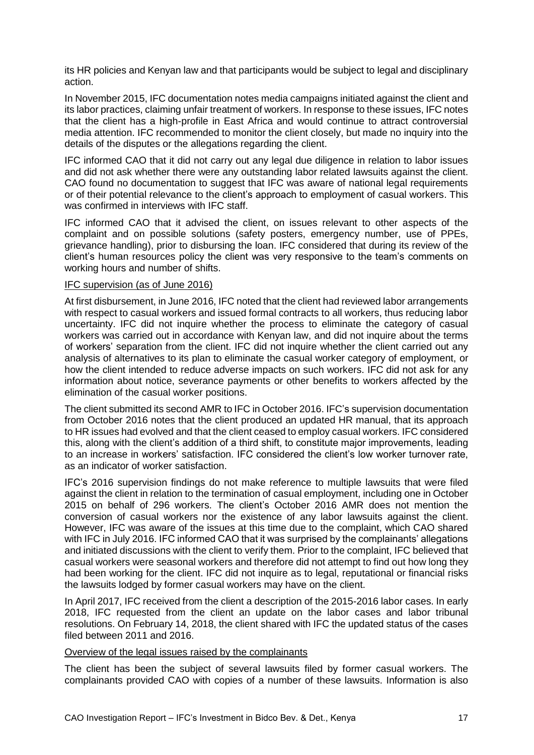its HR policies and Kenyan law and that participants would be subject to legal and disciplinary action.

In November 2015, IFC documentation notes media campaigns initiated against the client and its labor practices, claiming unfair treatment of workers. In response to these issues, IFC notes that the client has a high-profile in East Africa and would continue to attract controversial media attention. IFC recommended to monitor the client closely, but made no inquiry into the details of the disputes or the allegations regarding the client.

IFC informed CAO that it did not carry out any legal due diligence in relation to labor issues and did not ask whether there were any outstanding labor related lawsuits against the client. CAO found no documentation to suggest that IFC was aware of national legal requirements or of their potential relevance to the client's approach to employment of casual workers. This was confirmed in interviews with IFC staff.

IFC informed CAO that it advised the client, on issues relevant to other aspects of the complaint and on possible solutions (safety posters, emergency number, use of PPEs, grievance handling), prior to disbursing the loan. IFC considered that during its review of the client's human resources policy the client was very responsive to the team's comments on working hours and number of shifts.

#### IFC supervision (as of June 2016)

At first disbursement, in June 2016, IFC noted that the client had reviewed labor arrangements with respect to casual workers and issued formal contracts to all workers, thus reducing labor uncertainty. IFC did not inquire whether the process to eliminate the category of casual workers was carried out in accordance with Kenyan law, and did not inquire about the terms of workers' separation from the client. IFC did not inquire whether the client carried out any analysis of alternatives to its plan to eliminate the casual worker category of employment, or how the client intended to reduce adverse impacts on such workers. IFC did not ask for any information about notice, severance payments or other benefits to workers affected by the elimination of the casual worker positions.

The client submitted its second AMR to IFC in October 2016. IFC's supervision documentation from October 2016 notes that the client produced an updated HR manual, that its approach to HR issues had evolved and that the client ceased to employ casual workers. IFC considered this, along with the client's addition of a third shift, to constitute major improvements, leading to an increase in workers' satisfaction. IFC considered the client's low worker turnover rate, as an indicator of worker satisfaction.

IFC's 2016 supervision findings do not make reference to multiple lawsuits that were filed against the client in relation to the termination of casual employment, including one in October 2015 on behalf of 296 workers. The client's October 2016 AMR does not mention the conversion of casual workers nor the existence of any labor lawsuits against the client. However, IFC was aware of the issues at this time due to the complaint, which CAO shared with IFC in July 2016. IFC informed CAO that it was surprised by the complainants' allegations and initiated discussions with the client to verify them. Prior to the complaint, IFC believed that casual workers were seasonal workers and therefore did not attempt to find out how long they had been working for the client. IFC did not inquire as to legal, reputational or financial risks the lawsuits lodged by former casual workers may have on the client.

In April 2017, IFC received from the client a description of the 2015-2016 labor cases. In early 2018, IFC requested from the client an update on the labor cases and labor tribunal resolutions. On February 14, 2018, the client shared with IFC the updated status of the cases filed between 2011 and 2016.

#### Overview of the legal issues raised by the complainants

The client has been the subject of several lawsuits filed by former casual workers. The complainants provided CAO with copies of a number of these lawsuits. Information is also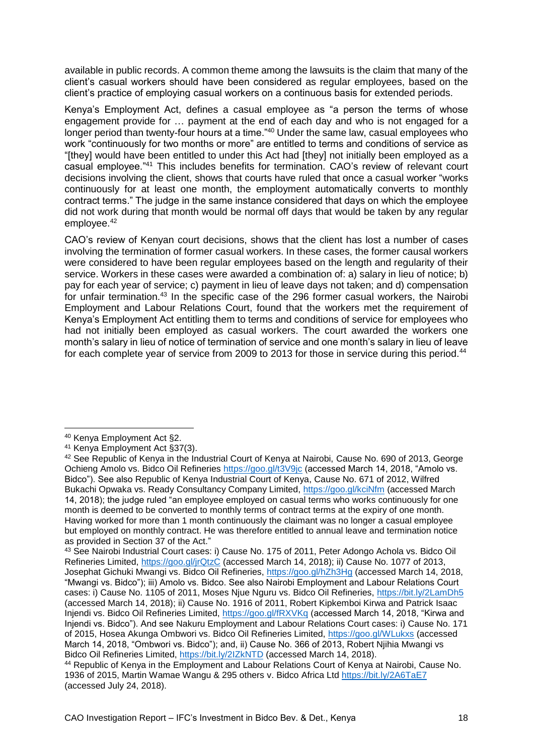available in public records. A common theme among the lawsuits is the claim that many of the client's casual workers should have been considered as regular employees, based on the client's practice of employing casual workers on a continuous basis for extended periods.

Kenya's Employment Act, defines a casual employee as "a person the terms of whose engagement provide for … payment at the end of each day and who is not engaged for a longer period than twenty-four hours at a time."<sup>40</sup> Under the same law, casual employees who work "continuously for two months or more" are entitled to terms and conditions of service as "[they] would have been entitled to under this Act had [they] not initially been employed as a casual employee."<sup>41</sup> This includes benefits for termination. CAO's review of relevant court decisions involving the client, shows that courts have ruled that once a casual worker "works continuously for at least one month, the employment automatically converts to monthly contract terms." The judge in the same instance considered that days on which the employee did not work during that month would be normal off days that would be taken by any regular employee.<sup>42</sup>

CAO's review of Kenyan court decisions, shows that the client has lost a number of cases involving the termination of former casual workers. In these cases, the former causal workers were considered to have been regular employees based on the length and regularity of their service. Workers in these cases were awarded a combination of: a) salary in lieu of notice; b) pay for each year of service; c) payment in lieu of leave days not taken; and d) compensation for unfair termination.<sup>43</sup> In the specific case of the 296 former casual workers, the Nairobi Employment and Labour Relations Court, found that the workers met the requirement of Kenya's Employment Act entitling them to terms and conditions of service for employees who had not initially been employed as casual workers. The court awarded the workers one month's salary in lieu of notice of termination of service and one month's salary in lieu of leave for each complete year of service from 2009 to 2013 for those in service during this period.<sup>44</sup>

<sup>40</sup> Kenya Employment Act §2.

<sup>41</sup> Kenya Employment Act §37(3).

<sup>42</sup> See Republic of Kenya in the Industrial Court of Kenya at Nairobi, Cause No. 690 of 2013, George Ochieng Amolo vs. Bidco Oil Refineries<https://goo.gl/t3V9jc> (accessed March 14, 2018, "Amolo vs. Bidco"). See also Republic of Kenya Industrial Court of Kenya, Cause No. 671 of 2012, Wilfred Bukachi Opwaka vs. Ready Consultancy Company Limited,<https://goo.gl/kciNfm> (accessed March 14, 2018); the judge ruled "an employee employed on casual terms who works continuously for one month is deemed to be converted to monthly terms of contract terms at the expiry of one month. Having worked for more than 1 month continuously the claimant was no longer a casual employee but employed on monthly contract. He was therefore entitled to annual leave and termination notice as provided in Section 37 of the Act."

<sup>43</sup> See Nairobi Industrial Court cases: i) Cause No. 175 of 2011, Peter Adongo Achola vs. Bidco Oil Refineries Limited,<https://goo.gl/jrQtzC> (accessed March 14, 2018); ii) Cause No. 1077 of 2013, Josephat Gichuki Mwangi vs. Bidco Oil Refineries,<https://goo.gl/hZh3Hg> (accessed March 14, 2018, "Mwangi vs. Bidco"); iii) Amolo vs. Bidco. See also Nairobi Employment and Labour Relations Court cases: i) Cause No. 1105 of 2011, Moses Njue Nguru vs. Bidco Oil Refineries,<https://bit.ly/2LamDh5> (accessed March 14, 2018); ii) Cause No. 1916 of 2011, Robert Kipkemboi Kirwa and Patrick Isaac Injendi vs. Bidco Oil Refineries Limited,<https://goo.gl/fRXVKq> (accessed March 14, 2018, "Kirwa and Injendi vs. Bidco"). And see Nakuru Employment and Labour Relations Court cases: i) Cause No. 171 of 2015, Hosea Akunga Ombwori vs. Bidco Oil Refineries Limited,<https://goo.gl/WLukxs> (accessed March 14, 2018, "Ombwori vs. Bidco"); and, ii) Cause No. 366 of 2013, Robert Njihia Mwangi vs Bidco Oil Refineries Limited,<https://bit.ly/2IZkNTD> (accessed March 14, 2018).

<sup>44</sup> Republic of Kenya in the Employment and Labour Relations Court of Kenya at Nairobi, Cause No. 1936 of 2015, Martin Wamae Wangu & 295 others v. Bidco Africa Ltd <https://bit.ly/2A6TaE7> (accessed July 24, 2018).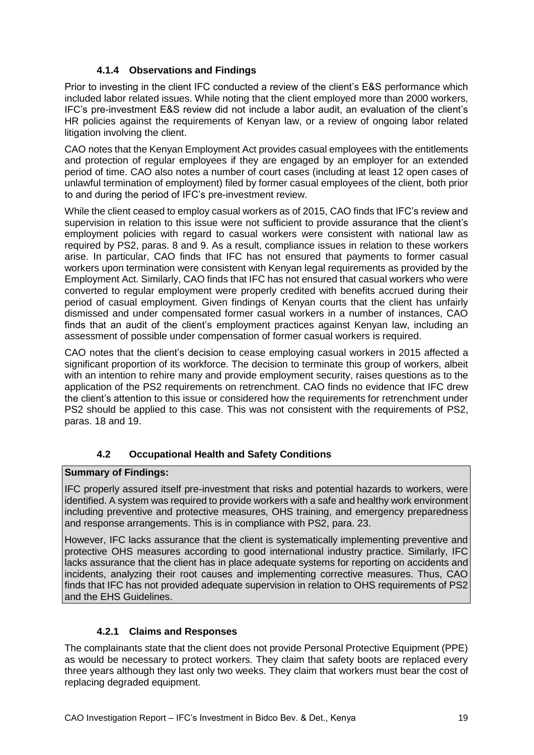### **4.1.4 Observations and Findings**

<span id="page-18-0"></span>Prior to investing in the client IFC conducted a review of the client's E&S performance which included labor related issues. While noting that the client employed more than 2000 workers, IFC's pre-investment E&S review did not include a labor audit, an evaluation of the client's HR policies against the requirements of Kenyan law, or a review of ongoing labor related litigation involving the client.

CAO notes that the Kenyan Employment Act provides casual employees with the entitlements and protection of regular employees if they are engaged by an employer for an extended period of time. CAO also notes a number of court cases (including at least 12 open cases of unlawful termination of employment) filed by former casual employees of the client, both prior to and during the period of IFC's pre-investment review.

While the client ceased to employ casual workers as of 2015, CAO finds that IFC's review and supervision in relation to this issue were not sufficient to provide assurance that the client's employment policies with regard to casual workers were consistent with national law as required by PS2, paras. 8 and 9. As a result, compliance issues in relation to these workers arise. In particular, CAO finds that IFC has not ensured that payments to former casual workers upon termination were consistent with Kenyan legal requirements as provided by the Employment Act. Similarly, CAO finds that IFC has not ensured that casual workers who were converted to regular employment were properly credited with benefits accrued during their period of casual employment. Given findings of Kenyan courts that the client has unfairly dismissed and under compensated former casual workers in a number of instances, CAO finds that an audit of the client's employment practices against Kenyan law, including an assessment of possible under compensation of former casual workers is required.

CAO notes that the client's decision to cease employing casual workers in 2015 affected a significant proportion of its workforce. The decision to terminate this group of workers, albeit with an intention to rehire many and provide employment security, raises questions as to the application of the PS2 requirements on retrenchment. CAO finds no evidence that IFC drew the client's attention to this issue or considered how the requirements for retrenchment under PS2 should be applied to this case. This was not consistent with the requirements of PS2, paras. 18 and 19.

### **4.2 Occupational Health and Safety Conditions**

#### <span id="page-18-1"></span>**Summary of Findings:**

IFC properly assured itself pre-investment that risks and potential hazards to workers, were identified. A system was required to provide workers with a safe and healthy work environment including preventive and protective measures, OHS training, and emergency preparedness and response arrangements. This is in compliance with PS2, para. 23.

However, IFC lacks assurance that the client is systematically implementing preventive and protective OHS measures according to good international industry practice. Similarly, IFC lacks assurance that the client has in place adequate systems for reporting on accidents and incidents, analyzing their root causes and implementing corrective measures. Thus, CAO finds that IFC has not provided adequate supervision in relation to OHS requirements of PS2 and the EHS Guidelines.

### **4.2.1 Claims and Responses**

<span id="page-18-2"></span>The complainants state that the client does not provide Personal Protective Equipment (PPE) as would be necessary to protect workers. They claim that safety boots are replaced every three years although they last only two weeks. They claim that workers must bear the cost of replacing degraded equipment.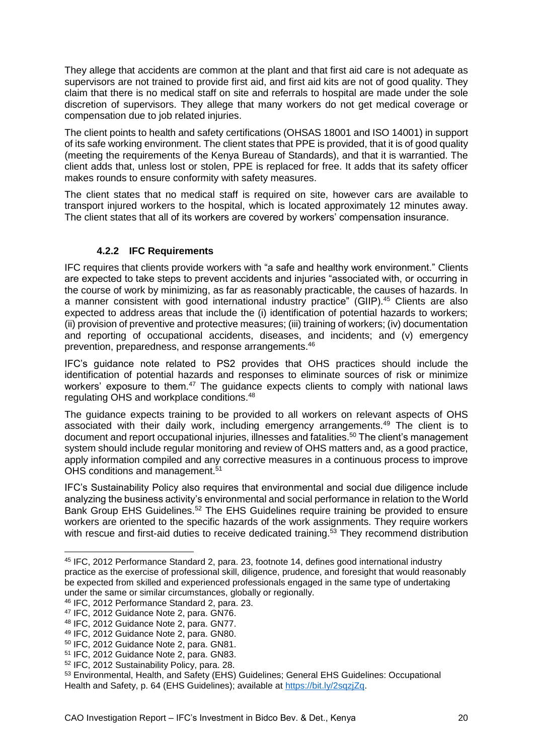They allege that accidents are common at the plant and that first aid care is not adequate as supervisors are not trained to provide first aid, and first aid kits are not of good quality. They claim that there is no medical staff on site and referrals to hospital are made under the sole discretion of supervisors. They allege that many workers do not get medical coverage or compensation due to job related injuries.

The client points to health and safety certifications (OHSAS 18001 and ISO 14001) in support of its safe working environment. The client states that PPE is provided, that it is of good quality (meeting the requirements of the Kenya Bureau of Standards), and that it is warrantied. The client adds that, unless lost or stolen, PPE is replaced for free. It adds that its safety officer makes rounds to ensure conformity with safety measures.

The client states that no medical staff is required on site, however cars are available to transport injured workers to the hospital, which is located approximately 12 minutes away. The client states that all of its workers are covered by workers' compensation insurance.

#### **4.2.2 IFC Requirements**

<span id="page-19-0"></span>IFC requires that clients provide workers with "a safe and healthy work environment." Clients are expected to take steps to prevent accidents and injuries "associated with, or occurring in the course of work by minimizing, as far as reasonably practicable, the causes of hazards. In a manner consistent with good international industry practice" (GIIP).<sup>45</sup> Clients are also expected to address areas that include the (i) identification of potential hazards to workers; (ii) provision of preventive and protective measures; (iii) training of workers; (iv) documentation and reporting of occupational accidents, diseases, and incidents; and (v) emergency prevention, preparedness, and response arrangements. 46

IFC's guidance note related to PS2 provides that OHS practices should include the identification of potential hazards and responses to eliminate sources of risk or minimize workers' exposure to them.<sup>47</sup> The guidance expects clients to comply with national laws regulating OHS and workplace conditions.<sup>48</sup>

The guidance expects training to be provided to all workers on relevant aspects of OHS associated with their daily work, including emergency arrangements.<sup>49</sup> The client is to document and report occupational injuries, illnesses and fatalities.<sup>50</sup> The client's management system should include regular monitoring and review of OHS matters and, as a good practice, apply information compiled and any corrective measures in a continuous process to improve OHS conditions and management.<sup>51</sup>

IFC's Sustainability Policy also requires that environmental and social due diligence include analyzing the business activity's environmental and social performance in relation to the World Bank Group EHS Guidelines.<sup>52</sup> The EHS Guidelines require training be provided to ensure workers are oriented to the specific hazards of the work assignments. They require workers with rescue and first-aid duties to receive dedicated training.<sup>53</sup> They recommend distribution

<sup>45</sup> IFC, 2012 Performance Standard 2, para. 23, footnote 14, defines good international industry practice as the exercise of professional skill, diligence, prudence, and foresight that would reasonably be expected from skilled and experienced professionals engaged in the same type of undertaking under the same or similar circumstances, globally or regionally.

<sup>46</sup> IFC, 2012 Performance Standard 2, para. 23.

<sup>47</sup> IFC, 2012 Guidance Note 2, para. GN76.

<sup>48</sup> IFC, 2012 Guidance Note 2, para. GN77.

<sup>49</sup> IFC, 2012 Guidance Note 2, para. GN80.

<sup>50</sup> IFC, 2012 Guidance Note 2, para. GN81.

<sup>51</sup> IFC, 2012 Guidance Note 2, para. GN83.

<sup>52</sup> IFC, 2012 Sustainability Policy, para. 28.

<sup>53</sup> Environmental, Health, and Safety (EHS) Guidelines; General EHS Guidelines: Occupational Health and Safety, p. 64 (EHS Guidelines); available at [https://bit.ly/2sqzjZq.](https://bit.ly/2sqzjZq)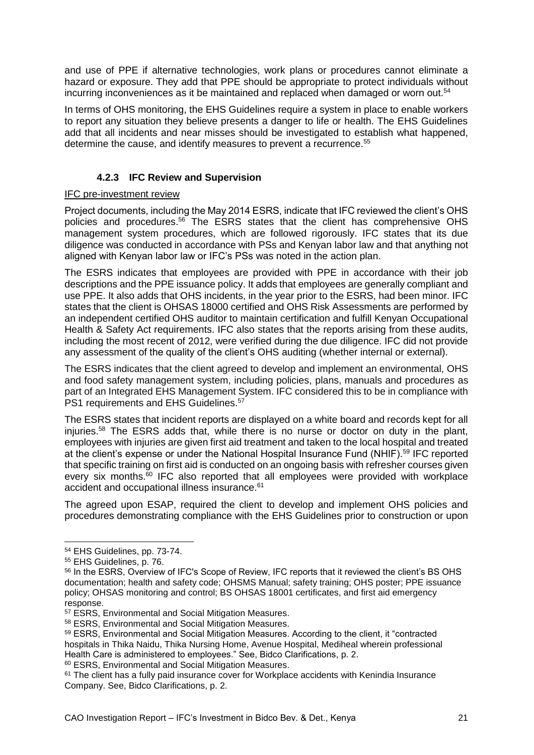and use of PPE if alternative technologies, work plans or procedures cannot eliminate a hazard or exposure. They add that PPE should be appropriate to protect individuals without incurring inconveniences as it be maintained and replaced when damaged or worn out.<sup>54</sup>

In terms of OHS monitoring, the EHS Guidelines require a system in place to enable workers to report any situation they believe presents a danger to life or health. The EHS Guidelines add that all incidents and near misses should be investigated to establish what happened, determine the cause, and identify measures to prevent a recurrence.<sup>55</sup>

### **4.2.3 IFC Review and Supervision**

#### <span id="page-20-0"></span>IFC pre-investment review

Project documents, including the May 2014 ESRS, indicate that IFC reviewed the client's OHS policies and procedures.<sup>56</sup> The ESRS states that the client has comprehensive OHS management system procedures, which are followed rigorously. IFC states that its due diligence was conducted in accordance with PSs and Kenyan labor law and that anything not aligned with Kenyan labor law or IFC's PSs was noted in the action plan.

The ESRS indicates that employees are provided with PPE in accordance with their job descriptions and the PPE issuance policy. It adds that employees are generally compliant and use PPE. It also adds that OHS incidents, in the year prior to the ESRS, had been minor. IFC states that the client is OHSAS 18000 certified and OHS Risk Assessments are performed by an independent certified OHS auditor to maintain certification and fulfill Kenyan Occupational Health & Safety Act requirements. IFC also states that the reports arising from these audits, including the most recent of 2012, were verified during the due diligence. IFC did not provide any assessment of the quality of the client's OHS auditing (whether internal or external).

The ESRS indicates that the client agreed to develop and implement an environmental, OHS and food safety management system, including policies, plans, manuals and procedures as part of an Integrated EHS Management System. IFC considered this to be in compliance with PS1 requirements and EHS Guidelines.<sup>57</sup>

The ESRS states that incident reports are displayed on a white board and records kept for all injuries.<sup>58</sup> The ESRS adds that, while there is no nurse or doctor on duty in the plant, employees with injuries are given first aid treatment and taken to the local hospital and treated at the client's expense or under the National Hospital Insurance Fund (NHIF).<sup>59</sup> IFC reported that specific training on first aid is conducted on an ongoing basis with refresher courses given every six months.<sup>60</sup> IFC also reported that all employees were provided with workplace accident and occupational illness insurance.<sup>61</sup>

The agreed upon ESAP, required the client to develop and implement OHS policies and procedures demonstrating compliance with the EHS Guidelines prior to construction or upon

<sup>54</sup> EHS Guidelines, pp. 73-74.

<sup>55</sup> EHS Guidelines, p. 76.

<sup>56</sup> In the ESRS, Overview of IFC's Scope of Review, IFC reports that it reviewed the client's BS OHS documentation; health and safety code; OHSMS Manual; safety training; OHS poster; PPE issuance policy; OHSAS monitoring and control; BS OHSAS 18001 certificates, and first aid emergency response.

<sup>57</sup> ESRS, Environmental and Social Mitigation Measures.

<sup>58</sup> ESRS, Environmental and Social Mitigation Measures.

<sup>59</sup> ESRS, Environmental and Social Mitigation Measures. According to the client, it "contracted hospitals in Thika Naidu, Thika Nursing Home, Avenue Hospital, Mediheal wherein professional Health Care is administered to employees." See, Bidco Clarifications, p. 2.

<sup>60</sup> ESRS, Environmental and Social Mitigation Measures.

 $61$  The client has a fully paid insurance cover for Workplace accidents with Kenindia Insurance Company. See, Bidco Clarifications, p. 2.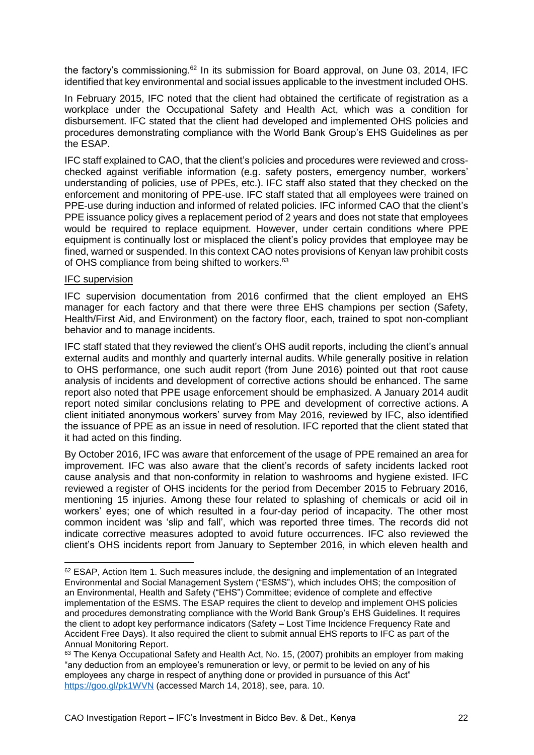the factory's commissioning.<sup>62</sup> In its submission for Board approval, on June 03, 2014, IFC identified that key environmental and social issues applicable to the investment included OHS.

In February 2015, IFC noted that the client had obtained the certificate of registration as a workplace under the Occupational Safety and Health Act, which was a condition for disbursement. IFC stated that the client had developed and implemented OHS policies and procedures demonstrating compliance with the World Bank Group's EHS Guidelines as per the ESAP.

IFC staff explained to CAO, that the client's policies and procedures were reviewed and crosschecked against verifiable information (e.g. safety posters, emergency number, workers' understanding of policies, use of PPEs, etc.). IFC staff also stated that they checked on the enforcement and monitoring of PPE-use. IFC staff stated that all employees were trained on PPE-use during induction and informed of related policies. IFC informed CAO that the client's PPE issuance policy gives a replacement period of 2 years and does not state that employees would be required to replace equipment. However, under certain conditions where PPE equipment is continually lost or misplaced the client's policy provides that employee may be fined, warned or suspended. In this context CAO notes provisions of Kenyan law prohibit costs of OHS compliance from being shifted to workers.<sup>63</sup>

#### IFC supervision

-

IFC supervision documentation from 2016 confirmed that the client employed an EHS manager for each factory and that there were three EHS champions per section (Safety, Health/First Aid, and Environment) on the factory floor, each, trained to spot non-compliant behavior and to manage incidents.

IFC staff stated that they reviewed the client's OHS audit reports, including the client's annual external audits and monthly and quarterly internal audits. While generally positive in relation to OHS performance, one such audit report (from June 2016) pointed out that root cause analysis of incidents and development of corrective actions should be enhanced. The same report also noted that PPE usage enforcement should be emphasized. A January 2014 audit report noted similar conclusions relating to PPE and development of corrective actions. A client initiated anonymous workers' survey from May 2016, reviewed by IFC, also identified the issuance of PPE as an issue in need of resolution. IFC reported that the client stated that it had acted on this finding.

By October 2016, IFC was aware that enforcement of the usage of PPE remained an area for improvement. IFC was also aware that the client's records of safety incidents lacked root cause analysis and that non-conformity in relation to washrooms and hygiene existed. IFC reviewed a register of OHS incidents for the period from December 2015 to February 2016. mentioning 15 injuries. Among these four related to splashing of chemicals or acid oil in workers' eyes; one of which resulted in a four-day period of incapacity. The other most common incident was 'slip and fall', which was reported three times. The records did not indicate corrective measures adopted to avoid future occurrences. IFC also reviewed the client's OHS incidents report from January to September 2016, in which eleven health and

 $62$  ESAP, Action Item 1. Such measures include, the designing and implementation of an Integrated Environmental and Social Management System ("ESMS"), which includes OHS; the composition of an Environmental, Health and Safety ("EHS") Committee; evidence of complete and effective implementation of the ESMS. The ESAP requires the client to develop and implement OHS policies and procedures demonstrating compliance with the World Bank Group's EHS Guidelines. It requires the client to adopt key performance indicators (Safety – Lost Time Incidence Frequency Rate and Accident Free Days). It also required the client to submit annual EHS reports to IFC as part of the Annual Monitoring Report.

<sup>&</sup>lt;sup>63</sup> The Kenya Occupational Safety and Health Act, No. 15, (2007) prohibits an employer from making "any deduction from an employee's remuneration or levy, or permit to be levied on any of his employees any charge in respect of anything done or provided in pursuance of this Act" <https://goo.gl/pk1WVN> (accessed March 14, 2018), see, para. 10.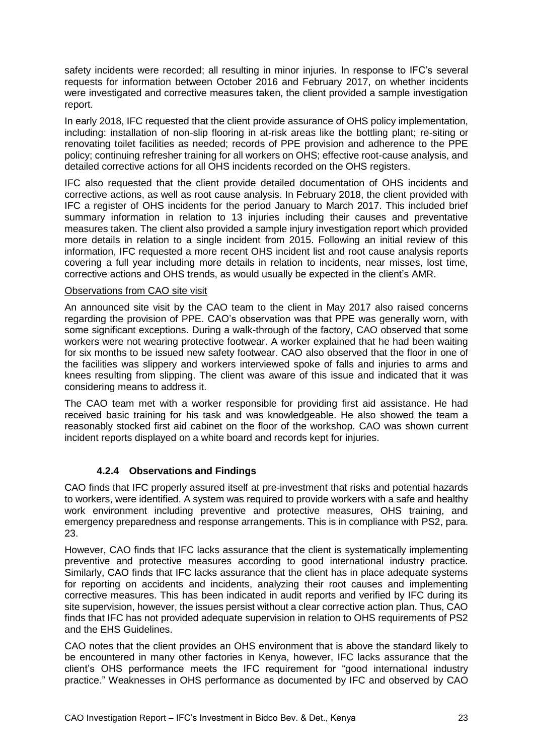safety incidents were recorded; all resulting in minor injuries. In response to IFC's several requests for information between October 2016 and February 2017, on whether incidents were investigated and corrective measures taken, the client provided a sample investigation report.

In early 2018, IFC requested that the client provide assurance of OHS policy implementation, including: installation of non-slip flooring in at-risk areas like the bottling plant; re-siting or renovating toilet facilities as needed; records of PPE provision and adherence to the PPE policy; continuing refresher training for all workers on OHS; effective root-cause analysis, and detailed corrective actions for all OHS incidents recorded on the OHS registers.

IFC also requested that the client provide detailed documentation of OHS incidents and corrective actions, as well as root cause analysis. In February 2018, the client provided with IFC a register of OHS incidents for the period January to March 2017. This included brief summary information in relation to 13 injuries including their causes and preventative measures taken. The client also provided a sample injury investigation report which provided more details in relation to a single incident from 2015. Following an initial review of this information, IFC requested a more recent OHS incident list and root cause analysis reports covering a full year including more details in relation to incidents, near misses, lost time, corrective actions and OHS trends, as would usually be expected in the client's AMR.

#### Observations from CAO site visit

An announced site visit by the CAO team to the client in May 2017 also raised concerns regarding the provision of PPE. CAO's observation was that PPE was generally worn, with some significant exceptions. During a walk-through of the factory, CAO observed that some workers were not wearing protective footwear. A worker explained that he had been waiting for six months to be issued new safety footwear. CAO also observed that the floor in one of the facilities was slippery and workers interviewed spoke of falls and injuries to arms and knees resulting from slipping. The client was aware of this issue and indicated that it was considering means to address it.

The CAO team met with a worker responsible for providing first aid assistance. He had received basic training for his task and was knowledgeable. He also showed the team a reasonably stocked first aid cabinet on the floor of the workshop. CAO was shown current incident reports displayed on a white board and records kept for injuries.

### **4.2.4 Observations and Findings**

<span id="page-22-0"></span>CAO finds that IFC properly assured itself at pre-investment that risks and potential hazards to workers, were identified. A system was required to provide workers with a safe and healthy work environment including preventive and protective measures, OHS training, and emergency preparedness and response arrangements. This is in compliance with PS2, para. 23.

However, CAO finds that IFC lacks assurance that the client is systematically implementing preventive and protective measures according to good international industry practice. Similarly, CAO finds that IFC lacks assurance that the client has in place adequate systems for reporting on accidents and incidents, analyzing their root causes and implementing corrective measures. This has been indicated in audit reports and verified by IFC during its site supervision, however, the issues persist without a clear corrective action plan. Thus, CAO finds that IFC has not provided adequate supervision in relation to OHS requirements of PS2 and the EHS Guidelines.

CAO notes that the client provides an OHS environment that is above the standard likely to be encountered in many other factories in Kenya, however, IFC lacks assurance that the client's OHS performance meets the IFC requirement for "good international industry practice." Weaknesses in OHS performance as documented by IFC and observed by CAO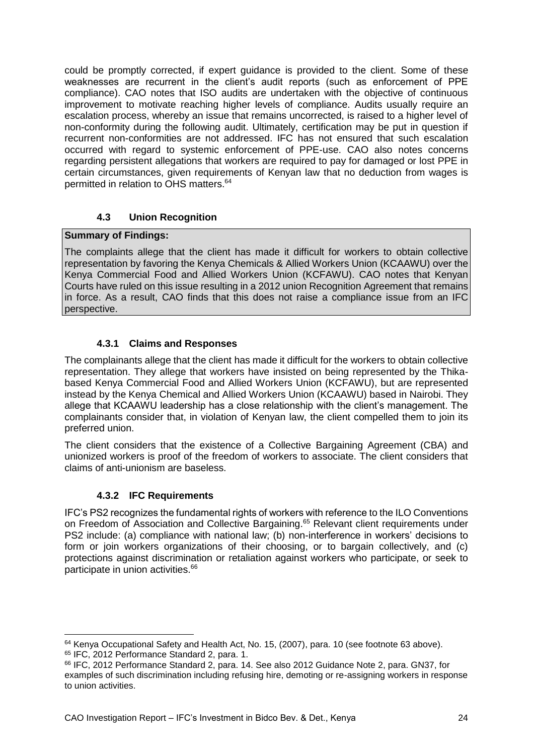could be promptly corrected, if expert guidance is provided to the client. Some of these weaknesses are recurrent in the client's audit reports (such as enforcement of PPE compliance). CAO notes that ISO audits are undertaken with the objective of continuous improvement to motivate reaching higher levels of compliance. Audits usually require an escalation process, whereby an issue that remains uncorrected, is raised to a higher level of non-conformity during the following audit. Ultimately, certification may be put in question if recurrent non-conformities are not addressed. IFC has not ensured that such escalation occurred with regard to systemic enforcement of PPE-use. CAO also notes concerns regarding persistent allegations that workers are required to pay for damaged or lost PPE in certain circumstances, given requirements of Kenyan law that no deduction from wages is permitted in relation to OHS matters. 64

### **4.3 Union Recognition**

#### <span id="page-23-0"></span>**Summary of Findings:**

The complaints allege that the client has made it difficult for workers to obtain collective representation by favoring the Kenya Chemicals & Allied Workers Union (KCAAWU) over the Kenya Commercial Food and Allied Workers Union (KCFAWU). CAO notes that Kenyan Courts have ruled on this issue resulting in a 2012 union Recognition Agreement that remains in force. As a result, CAO finds that this does not raise a compliance issue from an IFC perspective.

### **4.3.1 Claims and Responses**

<span id="page-23-1"></span>The complainants allege that the client has made it difficult for the workers to obtain collective representation. They allege that workers have insisted on being represented by the Thikabased Kenya Commercial Food and Allied Workers Union (KCFAWU), but are represented instead by the Kenya Chemical and Allied Workers Union (KCAAWU) based in Nairobi. They allege that KCAAWU leadership has a close relationship with the client's management. The complainants consider that, in violation of Kenyan law, the client compelled them to join its preferred union.

The client considers that the existence of a Collective Bargaining Agreement (CBA) and unionized workers is proof of the freedom of workers to associate. The client considers that claims of anti-unionism are baseless.

### **4.3.2 IFC Requirements**

<span id="page-23-2"></span>IFC's PS2 recognizes the fundamental rights of workers with reference to the ILO Conventions on Freedom of Association and Collective Bargaining.<sup>65</sup> Relevant client requirements under PS2 include: (a) compliance with national law; (b) non-interference in workers' decisions to form or join workers organizations of their choosing, or to bargain collectively, and (c) protections against discrimination or retaliation against workers who participate, or seek to participate in union activities.<sup>66</sup>

<sup>-</sup><sup>64</sup> Kenya Occupational Safety and Health Act, No. 15, (2007), para. 10 (see footnote 63 above). <sup>65</sup> IFC, 2012 Performance Standard 2, para. 1.

<sup>66</sup> IFC, 2012 Performance Standard 2, para. 14. See also 2012 Guidance Note 2, para. GN37, for examples of such discrimination including refusing hire, demoting or re-assigning workers in response to union activities.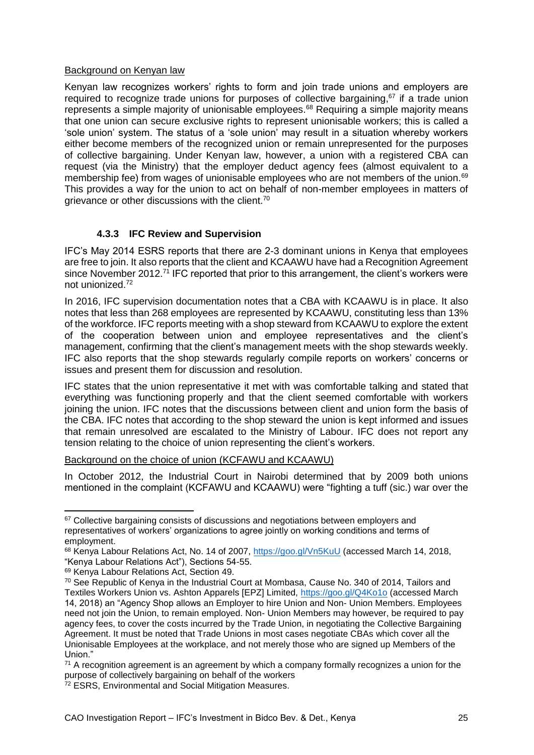#### Background on Kenyan law

Kenyan law recognizes workers' rights to form and join trade unions and employers are required to recognize trade unions for purposes of collective bargaining,<sup>67</sup> if a trade union represents a simple majority of unionisable employees.<sup>68</sup> Requiring a simple majority means that one union can secure exclusive rights to represent unionisable workers; this is called a 'sole union' system. The status of a 'sole union' may result in a situation whereby workers either become members of the recognized union or remain unrepresented for the purposes of collective bargaining. Under Kenyan law, however, a union with a registered CBA can request (via the Ministry) that the employer deduct agency fees (almost equivalent to a membership fee) from wages of unionisable employees who are not members of the union.<sup>69</sup> This provides a way for the union to act on behalf of non-member employees in matters of grievance or other discussions with the client.<sup>70</sup>

### **4.3.3 IFC Review and Supervision**

<span id="page-24-0"></span>IFC's May 2014 ESRS reports that there are 2-3 dominant unions in Kenya that employees are free to join. It also reports that the client and KCAAWU have had a Recognition Agreement since November 2012.<sup>71</sup> IFC reported that prior to this arrangement, the client's workers were not unionized.<sup>72</sup>

In 2016, IFC supervision documentation notes that a CBA with KCAAWU is in place. It also notes that less than 268 employees are represented by KCAAWU, constituting less than 13% of the workforce. IFC reports meeting with a shop steward from KCAAWU to explore the extent of the cooperation between union and employee representatives and the client's management, confirming that the client's management meets with the shop stewards weekly. IFC also reports that the shop stewards regularly compile reports on workers' concerns or issues and present them for discussion and resolution.

IFC states that the union representative it met with was comfortable talking and stated that everything was functioning properly and that the client seemed comfortable with workers joining the union. IFC notes that the discussions between client and union form the basis of the CBA. IFC notes that according to the shop steward the union is kept informed and issues that remain unresolved are escalated to the Ministry of Labour. IFC does not report any tension relating to the choice of union representing the client's workers.

Background on the choice of union (KCFAWU and KCAAWU)

In October 2012, the Industrial Court in Nairobi determined that by 2009 both unions mentioned in the complaint (KCFAWU and KCAAWU) were "fighting a tuff (sic.) war over the

<sup>&</sup>lt;sup>67</sup> Collective bargaining consists of discussions and negotiations between employers and representatives of workers' organizations to agree jointly on working conditions and terms of employment.

<sup>68</sup> Kenya Labour Relations Act, No. 14 of 2007,<https://goo.gl/Vn5KuU> (accessed March 14, 2018, "Kenya Labour Relations Act"), Sections 54-55.

<sup>69</sup> Kenya Labour Relations Act, Section 49.

<sup>70</sup> See Republic of Kenya in the Industrial Court at Mombasa, Cause No. 340 of 2014, Tailors and Textiles Workers Union vs. Ashton Apparels [EPZ] Limited,<https://goo.gl/Q4Ko1o> (accessed March 14, 2018) an "Agency Shop allows an Employer to hire Union and Non- Union Members. Employees need not join the Union, to remain employed. Non- Union Members may however, be required to pay agency fees, to cover the costs incurred by the Trade Union, in negotiating the Collective Bargaining Agreement. It must be noted that Trade Unions in most cases negotiate CBAs which cover all the Unionisable Employees at the workplace, and not merely those who are signed up Members of the Union."

 $71$  A recognition agreement is an agreement by which a company formally recognizes a union for the purpose of collectively bargaining on behalf of the workers

<sup>72</sup> ESRS, Environmental and Social Mitigation Measures.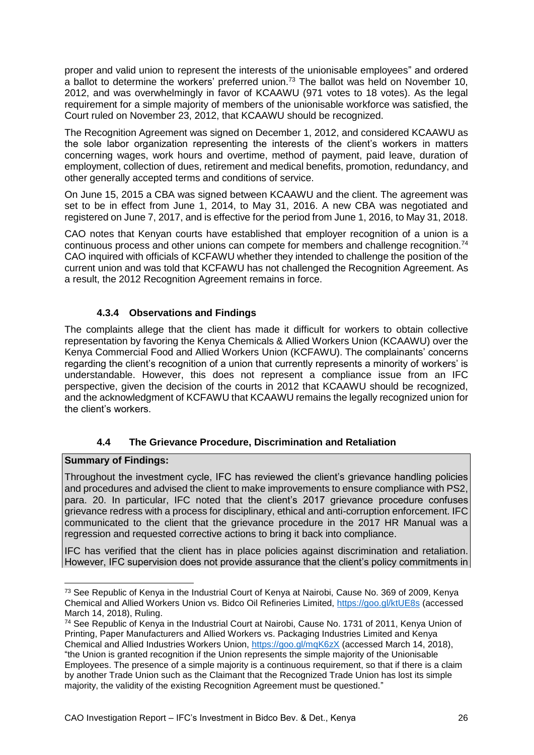proper and valid union to represent the interests of the unionisable employees" and ordered a ballot to determine the workers' preferred union.<sup>73</sup> The ballot was held on November 10, 2012, and was overwhelmingly in favor of KCAAWU (971 votes to 18 votes). As the legal requirement for a simple majority of members of the unionisable workforce was satisfied, the Court ruled on November 23, 2012, that KCAAWU should be recognized.

The Recognition Agreement was signed on December 1, 2012, and considered KCAAWU as the sole labor organization representing the interests of the client's workers in matters concerning wages, work hours and overtime, method of payment, paid leave, duration of employment, collection of dues, retirement and medical benefits, promotion, redundancy, and other generally accepted terms and conditions of service.

On June 15, 2015 a CBA was signed between KCAAWU and the client. The agreement was set to be in effect from June 1, 2014, to May 31, 2016. A new CBA was negotiated and registered on June 7, 2017, and is effective for the period from June 1, 2016, to May 31, 2018.

CAO notes that Kenyan courts have established that employer recognition of a union is a continuous process and other unions can compete for members and challenge recognition.<sup>74</sup> CAO inquired with officials of KCFAWU whether they intended to challenge the position of the current union and was told that KCFAWU has not challenged the Recognition Agreement. As a result, the 2012 Recognition Agreement remains in force.

### **4.3.4 Observations and Findings**

<span id="page-25-0"></span>The complaints allege that the client has made it difficult for workers to obtain collective representation by favoring the Kenya Chemicals & Allied Workers Union (KCAAWU) over the Kenya Commercial Food and Allied Workers Union (KCFAWU). The complainants' concerns regarding the client's recognition of a union that currently represents a minority of workers' is understandable. However, this does not represent a compliance issue from an IFC perspective, given the decision of the courts in 2012 that KCAAWU should be recognized, and the acknowledgment of KCFAWU that KCAAWU remains the legally recognized union for the client's workers.

### **4.4 The Grievance Procedure, Discrimination and Retaliation**

### <span id="page-25-1"></span>**Summary of Findings:**

Throughout the investment cycle, IFC has reviewed the client's grievance handling policies and procedures and advised the client to make improvements to ensure compliance with PS2, para. 20. In particular, IFC noted that the client's 2017 grievance procedure confuses grievance redress with a process for disciplinary, ethical and anti-corruption enforcement. IFC communicated to the client that the grievance procedure in the 2017 HR Manual was a regression and requested corrective actions to bring it back into compliance.

IFC has verified that the client has in place policies against discrimination and retaliation. However, IFC supervision does not provide assurance that the client's policy commitments in

<sup>-</sup><sup>73</sup> See Republic of Kenya in the Industrial Court of Kenya at Nairobi, Cause No. 369 of 2009, Kenya Chemical and Allied Workers Union vs. Bidco Oil Refineries Limited,<https://goo.gl/ktUE8s> (accessed March 14, 2018), Ruling.

<sup>74</sup> See Republic of Kenya in the Industrial Court at Nairobi, Cause No. 1731 of 2011, Kenya Union of Printing, Paper Manufacturers and Allied Workers vs. Packaging Industries Limited and Kenya Chemical and Allied Industries Workers Union,<https://goo.gl/mqK6zX> (accessed March 14, 2018), "the Union is granted recognition if the Union represents the simple majority of the Unionisable Employees. The presence of a simple majority is a continuous requirement, so that if there is a claim by another Trade Union such as the Claimant that the Recognized Trade Union has lost its simple majority, the validity of the existing Recognition Agreement must be questioned."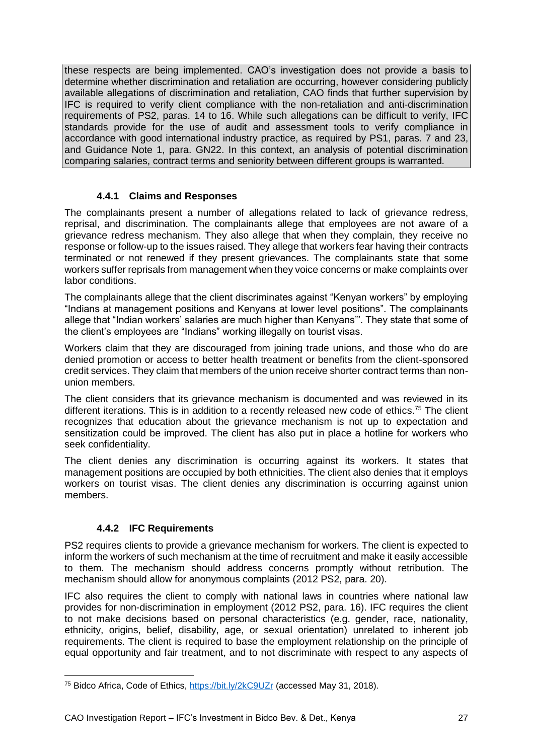these respects are being implemented. CAO's investigation does not provide a basis to determine whether discrimination and retaliation are occurring, however considering publicly available allegations of discrimination and retaliation, CAO finds that further supervision by IFC is required to verify client compliance with the non-retaliation and anti-discrimination requirements of PS2, paras. 14 to 16. While such allegations can be difficult to verify, IFC standards provide for the use of audit and assessment tools to verify compliance in accordance with good international industry practice, as required by PS1, paras. 7 and 23, and Guidance Note 1, para. GN22. In this context, an analysis of potential discrimination comparing salaries, contract terms and seniority between different groups is warranted.

#### **4.4.1 Claims and Responses**

<span id="page-26-0"></span>The complainants present a number of allegations related to lack of grievance redress, reprisal, and discrimination. The complainants allege that employees are not aware of a grievance redress mechanism. They also allege that when they complain, they receive no response or follow-up to the issues raised. They allege that workers fear having their contracts terminated or not renewed if they present grievances. The complainants state that some workers suffer reprisals from management when they voice concerns or make complaints over labor conditions.

The complainants allege that the client discriminates against "Kenyan workers" by employing "Indians at management positions and Kenyans at lower level positions". The complainants allege that "Indian workers' salaries are much higher than Kenyans'". They state that some of the client's employees are "Indians" working illegally on tourist visas.

Workers claim that they are discouraged from joining trade unions, and those who do are denied promotion or access to better health treatment or benefits from the client-sponsored credit services. They claim that members of the union receive shorter contract terms than nonunion members.

The client considers that its grievance mechanism is documented and was reviewed in its different iterations. This is in addition to a recently released new code of ethics.<sup>75</sup> The client recognizes that education about the grievance mechanism is not up to expectation and sensitization could be improved. The client has also put in place a hotline for workers who seek confidentiality.

The client denies any discrimination is occurring against its workers. It states that management positions are occupied by both ethnicities. The client also denies that it employs workers on tourist visas. The client denies any discrimination is occurring against union members.

#### **4.4.2 IFC Requirements**

<span id="page-26-1"></span>PS2 requires clients to provide a grievance mechanism for workers. The client is expected to inform the workers of such mechanism at the time of recruitment and make it easily accessible to them. The mechanism should address concerns promptly without retribution. The mechanism should allow for anonymous complaints (2012 PS2, para. 20).

IFC also requires the client to comply with national laws in countries where national law provides for non-discrimination in employment (2012 PS2, para. 16). IFC requires the client to not make decisions based on personal characteristics (e.g. gender, race, nationality, ethnicity, origins, belief, disability, age, or sexual orientation) unrelated to inherent job requirements. The client is required to base the employment relationship on the principle of equal opportunity and fair treatment, and to not discriminate with respect to any aspects of

 $\overline{a}$ <sup>75</sup> Bidco Africa, Code of Ethics,<https://bit.ly/2kC9UZr> (accessed May 31, 2018).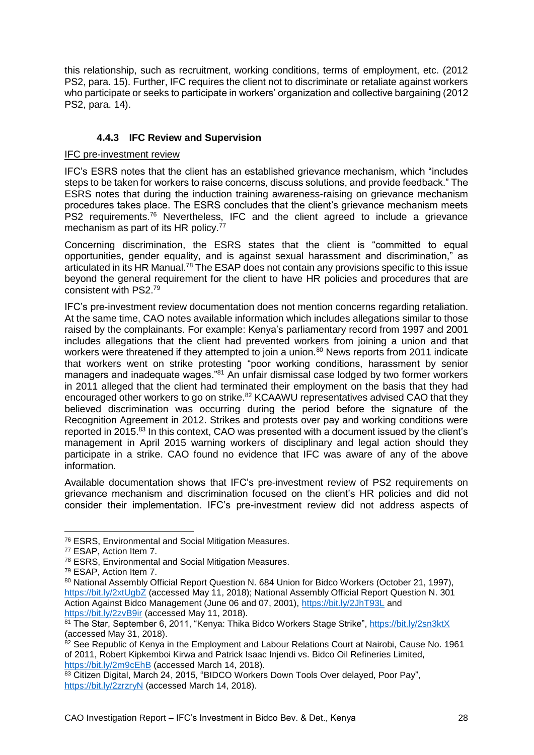this relationship, such as recruitment, working conditions, terms of employment, etc. (2012 PS2, para. 15). Further, IFC requires the client not to discriminate or retaliate against workers who participate or seeks to participate in workers' organization and collective bargaining (2012 PS2, para. 14).

### **4.4.3 IFC Review and Supervision**

#### <span id="page-27-0"></span>IFC pre-investment review

IFC's ESRS notes that the client has an established grievance mechanism, which "includes steps to be taken for workers to raise concerns, discuss solutions, and provide feedback." The ESRS notes that during the induction training awareness-raising on grievance mechanism procedures takes place. The ESRS concludes that the client's grievance mechanism meets PS2 requirements.<sup>76</sup> Nevertheless, IFC and the client agreed to include a grievance mechanism as part of its HR policy.<sup>77</sup>

Concerning discrimination, the ESRS states that the client is "committed to equal opportunities, gender equality, and is against sexual harassment and discrimination," as articulated in its HR Manual.<sup>78</sup> The ESAP does not contain any provisions specific to this issue beyond the general requirement for the client to have HR policies and procedures that are consistent with PS2.<sup>79</sup>

IFC's pre-investment review documentation does not mention concerns regarding retaliation. At the same time, CAO notes available information which includes allegations similar to those raised by the complainants. For example: Kenya's parliamentary record from 1997 and 2001 includes allegations that the client had prevented workers from joining a union and that workers were threatened if they attempted to join a union.<sup>80</sup> News reports from 2011 indicate that workers went on strike protesting "poor working conditions, harassment by senior managers and inadequate wages."<sup>81</sup> An unfair dismissal case lodged by two former workers in 2011 alleged that the client had terminated their employment on the basis that they had encouraged other workers to go on strike.<sup>82</sup> KCAAWU representatives advised CAO that they believed discrimination was occurring during the period before the signature of the Recognition Agreement in 2012. Strikes and protests over pay and working conditions were reported in 2015.<sup>83</sup> In this context, CAO was presented with a document issued by the client's management in April 2015 warning workers of disciplinary and legal action should they participate in a strike. CAO found no evidence that IFC was aware of any of the above information.

Available documentation shows that IFC's pre-investment review of PS2 requirements on grievance mechanism and discrimination focused on the client's HR policies and did not consider their implementation. IFC's pre-investment review did not address aspects of

<sup>76</sup> ESRS, Environmental and Social Mitigation Measures.

<sup>77</sup> ESAP, Action Item 7.

<sup>78</sup> ESRS, Environmental and Social Mitigation Measures.

<sup>79</sup> ESAP, Action Item 7.

<sup>80</sup> National Assembly Official Report Question N. 684 Union for Bidco Workers (October 21, 1997), <https://bit.ly/2xtUgbZ> (accessed May 11, 2018); National Assembly Official Report Question N. 301 Action Against Bidco Management (June 06 and 07, 2001),<https://bit.ly/2JhT93L> and <https://bit.ly/2zvB9ir> (accessed May 11, 2018).

<sup>81</sup> The Star, September 6, 2011, "Kenya: Thika Bidco Workers Stage Strike",<https://bit.ly/2sn3ktX> (accessed May 31, 2018).

<sup>82</sup> See Republic of Kenya in the Employment and Labour Relations Court at Nairobi, Cause No. 1961 of 2011, Robert Kipkemboi Kirwa and Patrick Isaac Injendi vs. Bidco Oil Refineries Limited, <https://bit.ly/2m9cEhB> (accessed March 14, 2018).

<sup>83</sup> Citizen Digital, March 24, 2015, "BIDCO Workers Down Tools Over delayed, Poor Pay", <https://bit.ly/2zrzryN> (accessed March 14, 2018).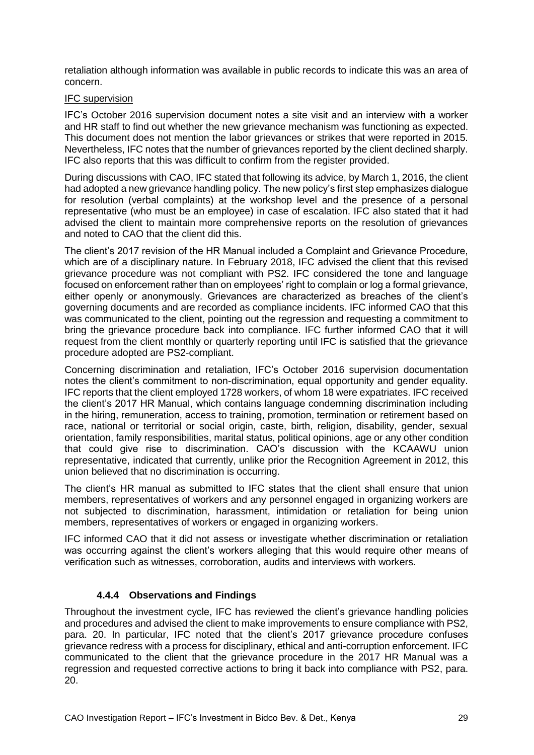retaliation although information was available in public records to indicate this was an area of concern.

#### IFC supervision

IFC's October 2016 supervision document notes a site visit and an interview with a worker and HR staff to find out whether the new grievance mechanism was functioning as expected. This document does not mention the labor grievances or strikes that were reported in 2015. Nevertheless, IFC notes that the number of grievances reported by the client declined sharply. IFC also reports that this was difficult to confirm from the register provided.

During discussions with CAO, IFC stated that following its advice, by March 1, 2016, the client had adopted a new grievance handling policy. The new policy's first step emphasizes dialogue for resolution (verbal complaints) at the workshop level and the presence of a personal representative (who must be an employee) in case of escalation. IFC also stated that it had advised the client to maintain more comprehensive reports on the resolution of grievances and noted to CAO that the client did this.

The client's 2017 revision of the HR Manual included a Complaint and Grievance Procedure, which are of a disciplinary nature. In February 2018, IFC advised the client that this revised grievance procedure was not compliant with PS2. IFC considered the tone and language focused on enforcement rather than on employees' right to complain or log a formal grievance, either openly or anonymously. Grievances are characterized as breaches of the client's governing documents and are recorded as compliance incidents. IFC informed CAO that this was communicated to the client, pointing out the regression and requesting a commitment to bring the grievance procedure back into compliance. IFC further informed CAO that it will request from the client monthly or quarterly reporting until IFC is satisfied that the grievance procedure adopted are PS2-compliant.

Concerning discrimination and retaliation, IFC's October 2016 supervision documentation notes the client's commitment to non-discrimination, equal opportunity and gender equality. IFC reports that the client employed 1728 workers, of whom 18 were expatriates. IFC received the client's 2017 HR Manual, which contains language condemning discrimination including in the hiring, remuneration, access to training, promotion, termination or retirement based on race, national or territorial or social origin, caste, birth, religion, disability, gender, sexual orientation, family responsibilities, marital status, political opinions, age or any other condition that could give rise to discrimination. CAO's discussion with the KCAAWU union representative, indicated that currently, unlike prior the Recognition Agreement in 2012, this union believed that no discrimination is occurring.

The client's HR manual as submitted to IFC states that the client shall ensure that union members, representatives of workers and any personnel engaged in organizing workers are not subjected to discrimination, harassment, intimidation or retaliation for being union members, representatives of workers or engaged in organizing workers.

IFC informed CAO that it did not assess or investigate whether discrimination or retaliation was occurring against the client's workers alleging that this would require other means of verification such as witnesses, corroboration, audits and interviews with workers.

#### **4.4.4 Observations and Findings**

<span id="page-28-0"></span>Throughout the investment cycle, IFC has reviewed the client's grievance handling policies and procedures and advised the client to make improvements to ensure compliance with PS2, para. 20. In particular, IFC noted that the client's 2017 grievance procedure confuses grievance redress with a process for disciplinary, ethical and anti-corruption enforcement. IFC communicated to the client that the grievance procedure in the 2017 HR Manual was a regression and requested corrective actions to bring it back into compliance with PS2, para. 20.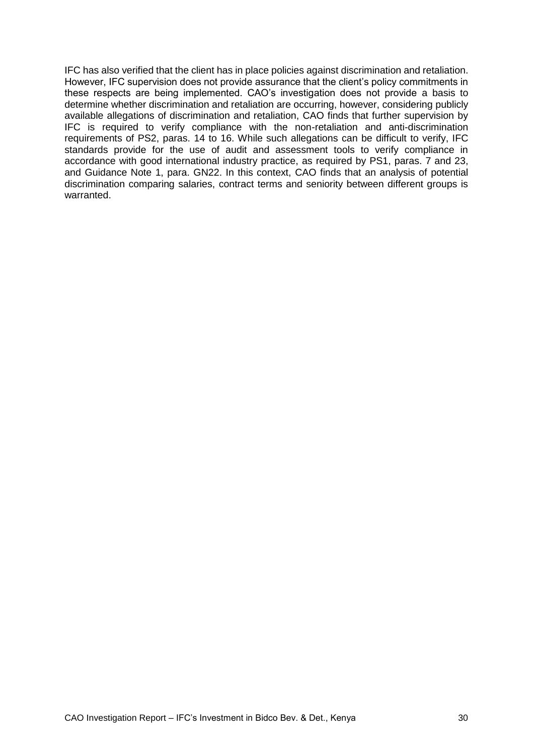IFC has also verified that the client has in place policies against discrimination and retaliation. However, IFC supervision does not provide assurance that the client's policy commitments in these respects are being implemented. CAO's investigation does not provide a basis to determine whether discrimination and retaliation are occurring, however, considering publicly available allegations of discrimination and retaliation, CAO finds that further supervision by IFC is required to verify compliance with the non-retaliation and anti-discrimination requirements of PS2, paras. 14 to 16. While such allegations can be difficult to verify, IFC standards provide for the use of audit and assessment tools to verify compliance in accordance with good international industry practice, as required by PS1, paras. 7 and 23, and Guidance Note 1, para. GN22. In this context, CAO finds that an analysis of potential discrimination comparing salaries, contract terms and seniority between different groups is warranted.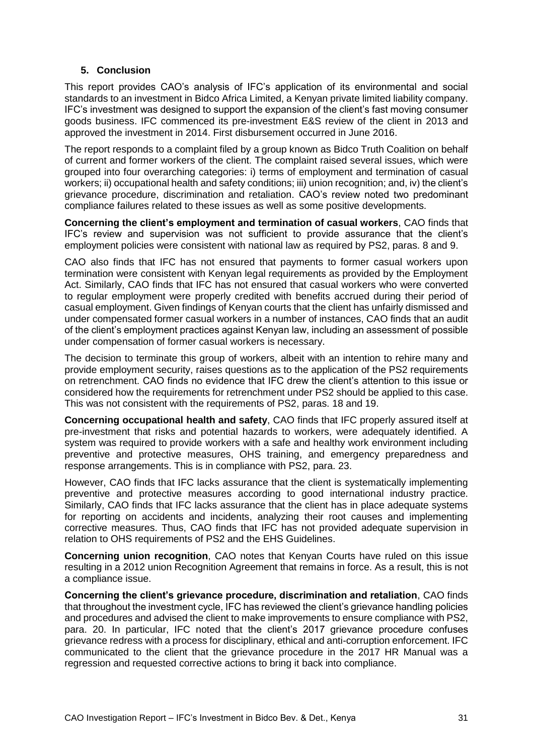#### **5. Conclusion**

<span id="page-30-0"></span>This report provides CAO's analysis of IFC's application of its environmental and social standards to an investment in Bidco Africa Limited, a Kenyan private limited liability company. IFC's investment was designed to support the expansion of the client's fast moving consumer goods business. IFC commenced its pre-investment E&S review of the client in 2013 and approved the investment in 2014. First disbursement occurred in June 2016.

The report responds to a complaint filed by a group known as Bidco Truth Coalition on behalf of current and former workers of the client. The complaint raised several issues, which were grouped into four overarching categories: i) terms of employment and termination of casual workers; ii) occupational health and safety conditions; iii) union recognition; and, iv) the client's grievance procedure, discrimination and retaliation. CAO's review noted two predominant compliance failures related to these issues as well as some positive developments.

**Concerning the client's employment and termination of casual workers**, CAO finds that IFC's review and supervision was not sufficient to provide assurance that the client's employment policies were consistent with national law as required by PS2, paras. 8 and 9.

CAO also finds that IFC has not ensured that payments to former casual workers upon termination were consistent with Kenyan legal requirements as provided by the Employment Act. Similarly, CAO finds that IFC has not ensured that casual workers who were converted to regular employment were properly credited with benefits accrued during their period of casual employment. Given findings of Kenyan courts that the client has unfairly dismissed and under compensated former casual workers in a number of instances, CAO finds that an audit of the client's employment practices against Kenyan law, including an assessment of possible under compensation of former casual workers is necessary.

The decision to terminate this group of workers, albeit with an intention to rehire many and provide employment security, raises questions as to the application of the PS2 requirements on retrenchment. CAO finds no evidence that IFC drew the client's attention to this issue or considered how the requirements for retrenchment under PS2 should be applied to this case. This was not consistent with the requirements of PS2, paras. 18 and 19.

**Concerning occupational health and safety**, CAO finds that IFC properly assured itself at pre-investment that risks and potential hazards to workers, were adequately identified. A system was required to provide workers with a safe and healthy work environment including preventive and protective measures, OHS training, and emergency preparedness and response arrangements. This is in compliance with PS2, para. 23.

However, CAO finds that IFC lacks assurance that the client is systematically implementing preventive and protective measures according to good international industry practice. Similarly, CAO finds that IFC lacks assurance that the client has in place adequate systems for reporting on accidents and incidents, analyzing their root causes and implementing corrective measures. Thus, CAO finds that IFC has not provided adequate supervision in relation to OHS requirements of PS2 and the EHS Guidelines.

**Concerning union recognition**, CAO notes that Kenyan Courts have ruled on this issue resulting in a 2012 union Recognition Agreement that remains in force. As a result, this is not a compliance issue.

**Concerning the client's grievance procedure, discrimination and retaliation**, CAO finds that throughout the investment cycle, IFC has reviewed the client's grievance handling policies and procedures and advised the client to make improvements to ensure compliance with PS2, para. 20. In particular, IFC noted that the client's 2017 grievance procedure confuses grievance redress with a process for disciplinary, ethical and anti-corruption enforcement. IFC communicated to the client that the grievance procedure in the 2017 HR Manual was a regression and requested corrective actions to bring it back into compliance.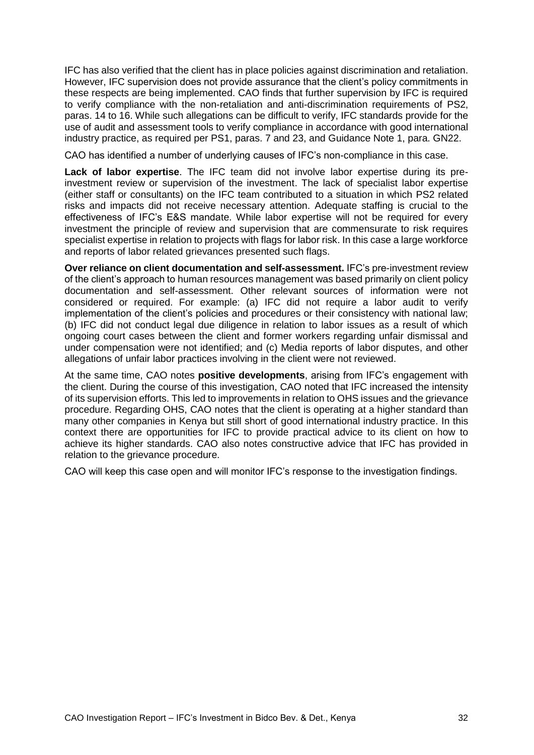IFC has also verified that the client has in place policies against discrimination and retaliation. However, IFC supervision does not provide assurance that the client's policy commitments in these respects are being implemented. CAO finds that further supervision by IFC is required to verify compliance with the non-retaliation and anti-discrimination requirements of PS2, paras. 14 to 16. While such allegations can be difficult to verify, IFC standards provide for the use of audit and assessment tools to verify compliance in accordance with good international industry practice, as required per PS1, paras. 7 and 23, and Guidance Note 1, para. GN22.

CAO has identified a number of underlying causes of IFC's non-compliance in this case.

**Lack of labor expertise**. The IFC team did not involve labor expertise during its preinvestment review or supervision of the investment. The lack of specialist labor expertise (either staff or consultants) on the IFC team contributed to a situation in which PS2 related risks and impacts did not receive necessary attention. Adequate staffing is crucial to the effectiveness of IFC's E&S mandate. While labor expertise will not be required for every investment the principle of review and supervision that are commensurate to risk requires specialist expertise in relation to projects with flags for labor risk. In this case a large workforce and reports of labor related grievances presented such flags.

**Over reliance on client documentation and self-assessment.** IFC's pre-investment review of the client's approach to human resources management was based primarily on client policy documentation and self-assessment. Other relevant sources of information were not considered or required. For example: (a) IFC did not require a labor audit to verify implementation of the client's policies and procedures or their consistency with national law; (b) IFC did not conduct legal due diligence in relation to labor issues as a result of which ongoing court cases between the client and former workers regarding unfair dismissal and under compensation were not identified; and (c) Media reports of labor disputes, and other allegations of unfair labor practices involving in the client were not reviewed.

At the same time, CAO notes **positive developments**, arising from IFC's engagement with the client. During the course of this investigation, CAO noted that IFC increased the intensity of its supervision efforts. This led to improvements in relation to OHS issues and the grievance procedure. Regarding OHS, CAO notes that the client is operating at a higher standard than many other companies in Kenya but still short of good international industry practice. In this context there are opportunities for IFC to provide practical advice to its client on how to achieve its higher standards. CAO also notes constructive advice that IFC has provided in relation to the grievance procedure.

CAO will keep this case open and will monitor IFC's response to the investigation findings.